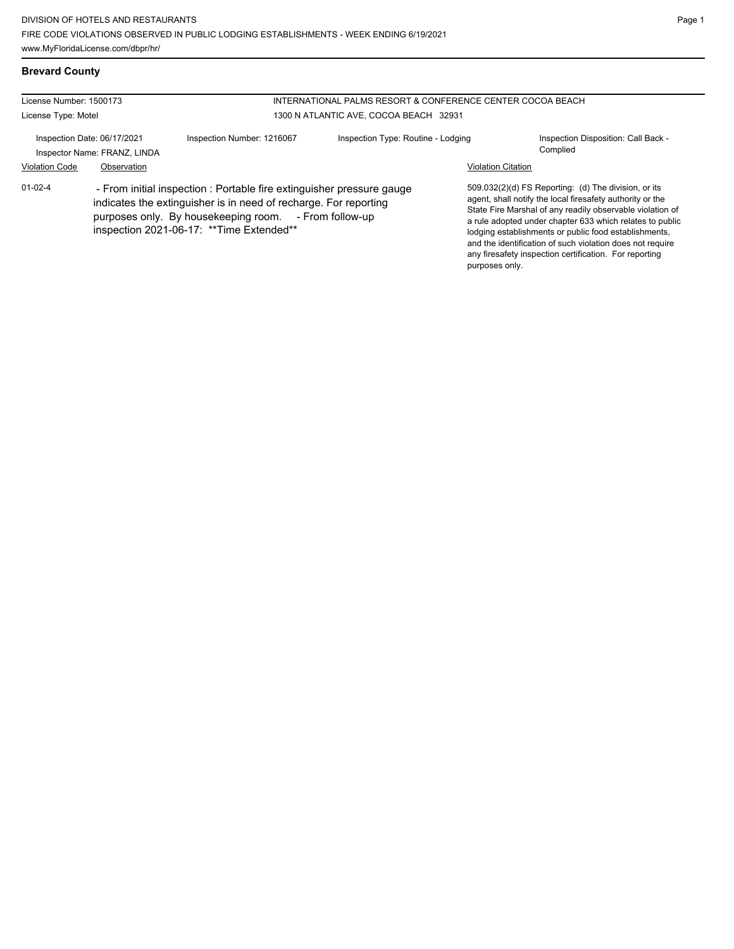# **Brevard County**

| License Number: 1500173 |                                                             | INTERNATIONAL PALMS RESORT & CONFERENCE CENTER COCOA BEACH                                                                                                                                                                                      |                                        |                           |                                                                                                                                                                                                                                                                                                                                                                                                                            |
|-------------------------|-------------------------------------------------------------|-------------------------------------------------------------------------------------------------------------------------------------------------------------------------------------------------------------------------------------------------|----------------------------------------|---------------------------|----------------------------------------------------------------------------------------------------------------------------------------------------------------------------------------------------------------------------------------------------------------------------------------------------------------------------------------------------------------------------------------------------------------------------|
| License Type: Motel     |                                                             |                                                                                                                                                                                                                                                 | 1300 N ATLANTIC AVE, COCOA BEACH 32931 |                           |                                                                                                                                                                                                                                                                                                                                                                                                                            |
|                         | Inspection Date: 06/17/2021<br>Inspector Name: FRANZ, LINDA | Inspection Number: 1216067                                                                                                                                                                                                                      | Inspection Type: Routine - Lodging     |                           | Inspection Disposition: Call Back -<br>Complied                                                                                                                                                                                                                                                                                                                                                                            |
| <b>Violation Code</b>   | Observation                                                 |                                                                                                                                                                                                                                                 |                                        | <b>Violation Citation</b> |                                                                                                                                                                                                                                                                                                                                                                                                                            |
| $01 - 02 - 4$           |                                                             | - From initial inspection : Portable fire extinguisher pressure gauge<br>indicates the extinguisher is in need of recharge. For reporting<br>purposes only. By housekeeping room. - From follow-up<br>inspection 2021-06-17: ** Time Extended** |                                        | purposes only.            | 509.032(2)(d) FS Reporting: (d) The division, or its<br>agent, shall notify the local firesafety authority or the<br>State Fire Marshal of any readily observable violation of<br>a rule adopted under chapter 633 which relates to public<br>lodging establishments or public food establishments,<br>and the identification of such violation does not require<br>any firesafety inspection certification. For reporting |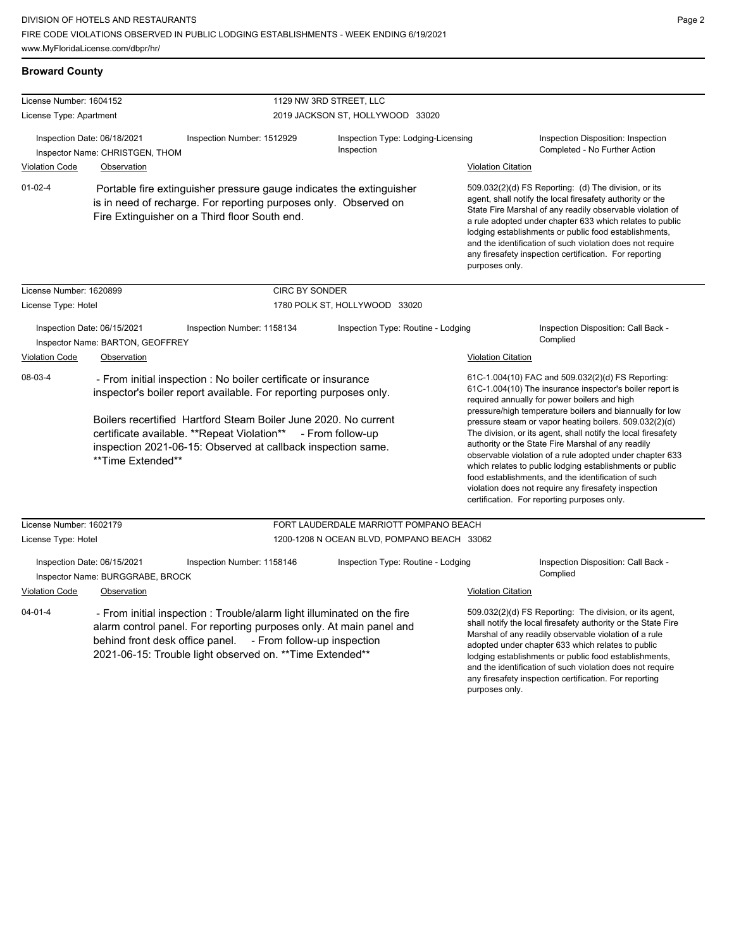**Broward County**

any firesafety inspection certification. For reporting

| License Number: 1604152 |                                                                                                                                                                                                                      |                                                                                                                                                                                                                                                                            | 1129 NW 3RD STREET, LLC                                                                                                                                                                                                                                                                                                                                                                                                                                             |                           |                                                                                                                                                                                                                                                                                                                                                                                                                            |  |  |
|-------------------------|----------------------------------------------------------------------------------------------------------------------------------------------------------------------------------------------------------------------|----------------------------------------------------------------------------------------------------------------------------------------------------------------------------------------------------------------------------------------------------------------------------|---------------------------------------------------------------------------------------------------------------------------------------------------------------------------------------------------------------------------------------------------------------------------------------------------------------------------------------------------------------------------------------------------------------------------------------------------------------------|---------------------------|----------------------------------------------------------------------------------------------------------------------------------------------------------------------------------------------------------------------------------------------------------------------------------------------------------------------------------------------------------------------------------------------------------------------------|--|--|
| License Type: Apartment |                                                                                                                                                                                                                      |                                                                                                                                                                                                                                                                            | 2019 JACKSON ST, HOLLYWOOD 33020                                                                                                                                                                                                                                                                                                                                                                                                                                    |                           |                                                                                                                                                                                                                                                                                                                                                                                                                            |  |  |
|                         | Inspection Date: 06/18/2021<br>Inspector Name: CHRISTGEN, THOM                                                                                                                                                       | Inspection Number: 1512929                                                                                                                                                                                                                                                 | Inspection Type: Lodging-Licensing<br>Inspection                                                                                                                                                                                                                                                                                                                                                                                                                    |                           | Inspection Disposition: Inspection<br>Completed - No Further Action                                                                                                                                                                                                                                                                                                                                                        |  |  |
| <b>Violation Code</b>   | Observation                                                                                                                                                                                                          |                                                                                                                                                                                                                                                                            |                                                                                                                                                                                                                                                                                                                                                                                                                                                                     | <b>Violation Citation</b> |                                                                                                                                                                                                                                                                                                                                                                                                                            |  |  |
| $01 - 02 - 4$           |                                                                                                                                                                                                                      | Portable fire extinguisher pressure gauge indicates the extinguisher<br>is in need of recharge. For reporting purposes only. Observed on<br>Fire Extinguisher on a Third floor South end.                                                                                  | purposes only.                                                                                                                                                                                                                                                                                                                                                                                                                                                      |                           | 509.032(2)(d) FS Reporting: (d) The division, or its<br>agent, shall notify the local firesafety authority or the<br>State Fire Marshal of any readily observable violation of<br>a rule adopted under chapter 633 which relates to public<br>lodging establishments or public food establishments,<br>and the identification of such violation does not require<br>any firesafety inspection certification. For reporting |  |  |
| License Number: 1620899 |                                                                                                                                                                                                                      | <b>CIRC BY SONDER</b>                                                                                                                                                                                                                                                      |                                                                                                                                                                                                                                                                                                                                                                                                                                                                     |                           |                                                                                                                                                                                                                                                                                                                                                                                                                            |  |  |
| License Type: Hotel     |                                                                                                                                                                                                                      |                                                                                                                                                                                                                                                                            | 1780 POLK ST, HOLLYWOOD 33020                                                                                                                                                                                                                                                                                                                                                                                                                                       |                           |                                                                                                                                                                                                                                                                                                                                                                                                                            |  |  |
|                         | Inspection Date: 06/15/2021<br>Inspector Name: BARTON, GEOFFREY                                                                                                                                                      | Inspection Number: 1158134                                                                                                                                                                                                                                                 | Inspection Type: Routine - Lodging                                                                                                                                                                                                                                                                                                                                                                                                                                  |                           | Inspection Disposition: Call Back -<br>Complied                                                                                                                                                                                                                                                                                                                                                                            |  |  |
| Violation Code          | Observation                                                                                                                                                                                                          |                                                                                                                                                                                                                                                                            |                                                                                                                                                                                                                                                                                                                                                                                                                                                                     | <b>Violation Citation</b> |                                                                                                                                                                                                                                                                                                                                                                                                                            |  |  |
| 08-03-4                 | - From initial inspection : No boiler certificate or insurance<br>inspector's boiler report available. For reporting purposes only.                                                                                  |                                                                                                                                                                                                                                                                            |                                                                                                                                                                                                                                                                                                                                                                                                                                                                     |                           | 61C-1.004(10) FAC and 509.032(2)(d) FS Reporting:<br>61C-1.004(10) The insurance inspector's boiler report is<br>required annually for power boilers and high<br>pressure/high temperature boilers and biannually for low                                                                                                                                                                                                  |  |  |
|                         | Boilers recertified Hartford Steam Boiler June 2020. No current<br>certificate available. **Repeat Violation** - From follow-up<br>inspection 2021-06-15: Observed at callback inspection same.<br>**Time Extended** |                                                                                                                                                                                                                                                                            | pressure steam or vapor heating boilers. 509.032(2)(d)<br>The division, or its agent, shall notify the local firesafety<br>authority or the State Fire Marshal of any readily<br>observable violation of a rule adopted under chapter 633<br>which relates to public lodging establishments or public<br>food establishments, and the identification of such<br>violation does not require any firesafety inspection<br>certification. For reporting purposes only. |                           |                                                                                                                                                                                                                                                                                                                                                                                                                            |  |  |
| License Number: 1602179 |                                                                                                                                                                                                                      |                                                                                                                                                                                                                                                                            | FORT LAUDERDALE MARRIOTT POMPANO BEACH                                                                                                                                                                                                                                                                                                                                                                                                                              |                           |                                                                                                                                                                                                                                                                                                                                                                                                                            |  |  |
| License Type: Hotel     |                                                                                                                                                                                                                      |                                                                                                                                                                                                                                                                            | 1200-1208 N OCEAN BLVD, POMPANO BEACH 33062                                                                                                                                                                                                                                                                                                                                                                                                                         |                           |                                                                                                                                                                                                                                                                                                                                                                                                                            |  |  |
|                         | Inspection Date: 06/15/2021<br>Inspector Name: BURGGRABE, BROCK                                                                                                                                                      | Inspection Number: 1158146                                                                                                                                                                                                                                                 | Inspection Type: Routine - Lodging                                                                                                                                                                                                                                                                                                                                                                                                                                  |                           | Inspection Disposition: Call Back -<br>Complied                                                                                                                                                                                                                                                                                                                                                                            |  |  |
| <b>Violation Code</b>   | Observation                                                                                                                                                                                                          |                                                                                                                                                                                                                                                                            |                                                                                                                                                                                                                                                                                                                                                                                                                                                                     | <b>Violation Citation</b> |                                                                                                                                                                                                                                                                                                                                                                                                                            |  |  |
| $04 - 01 - 4$           |                                                                                                                                                                                                                      | - From initial inspection : Trouble/alarm light illuminated on the fire<br>alarm control panel. For reporting purposes only. At main panel and<br>behind front desk office panel. - From follow-up inspection<br>2021-06-15: Trouble light observed on. ** Time Extended** |                                                                                                                                                                                                                                                                                                                                                                                                                                                                     |                           | 509.032(2)(d) FS Reporting: The division, or its agent,<br>shall notify the local firesafety authority or the State Fire<br>Marshal of any readily observable violation of a rule<br>adopted under chapter 633 which relates to public<br>lodging establishments or public food establishments,<br>and the identification of such violation does not require                                                               |  |  |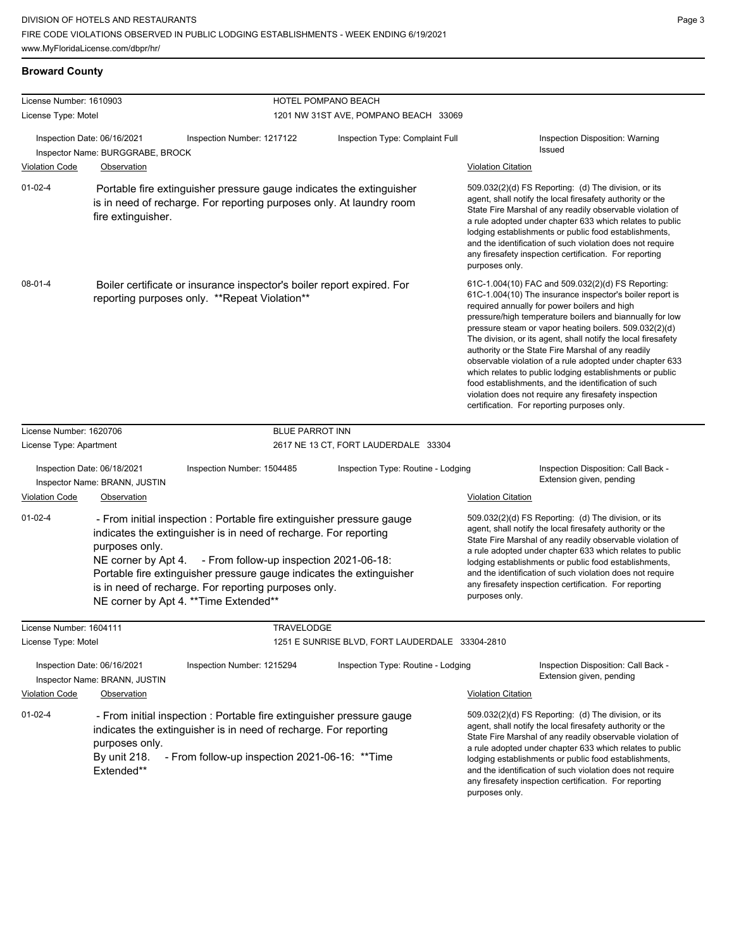# **Broward County**

| License Number: 1610903 |                                                                 |                                                                                                                                                                                                                                                                                                                                                                                    | HOTEL POMPANO BEACH                                                                                                                                                                                                                                                                                                                                                                                                                          |                                                                                                                                                                                                                                                                                                                                                                                                                                                                                                                                                                                                                                                                                                  |
|-------------------------|-----------------------------------------------------------------|------------------------------------------------------------------------------------------------------------------------------------------------------------------------------------------------------------------------------------------------------------------------------------------------------------------------------------------------------------------------------------|----------------------------------------------------------------------------------------------------------------------------------------------------------------------------------------------------------------------------------------------------------------------------------------------------------------------------------------------------------------------------------------------------------------------------------------------|--------------------------------------------------------------------------------------------------------------------------------------------------------------------------------------------------------------------------------------------------------------------------------------------------------------------------------------------------------------------------------------------------------------------------------------------------------------------------------------------------------------------------------------------------------------------------------------------------------------------------------------------------------------------------------------------------|
| License Type: Motel     |                                                                 |                                                                                                                                                                                                                                                                                                                                                                                    | 1201 NW 31ST AVE, POMPANO BEACH 33069                                                                                                                                                                                                                                                                                                                                                                                                        |                                                                                                                                                                                                                                                                                                                                                                                                                                                                                                                                                                                                                                                                                                  |
|                         | Inspection Date: 06/16/2021<br>Inspector Name: BURGGRABE, BROCK | Inspection Number: 1217122                                                                                                                                                                                                                                                                                                                                                         | Inspection Type: Complaint Full                                                                                                                                                                                                                                                                                                                                                                                                              | Inspection Disposition: Warning<br>Issued                                                                                                                                                                                                                                                                                                                                                                                                                                                                                                                                                                                                                                                        |
| <b>Violation Code</b>   | Observation                                                     |                                                                                                                                                                                                                                                                                                                                                                                    |                                                                                                                                                                                                                                                                                                                                                                                                                                              | <b>Violation Citation</b>                                                                                                                                                                                                                                                                                                                                                                                                                                                                                                                                                                                                                                                                        |
| $01 - 02 - 4$           | fire extinguisher.                                              | Portable fire extinguisher pressure gauge indicates the extinguisher<br>is in need of recharge. For reporting purposes only. At laundry room                                                                                                                                                                                                                                       | 509.032(2)(d) FS Reporting: (d) The division, or its<br>agent, shall notify the local firesafety authority or the<br>State Fire Marshal of any readily observable violation of<br>a rule adopted under chapter 633 which relates to public<br>lodging establishments or public food establishments,<br>and the identification of such violation does not require<br>any firesafety inspection certification. For reporting<br>purposes only. |                                                                                                                                                                                                                                                                                                                                                                                                                                                                                                                                                                                                                                                                                                  |
| $08 - 01 - 4$           |                                                                 | Boiler certificate or insurance inspector's boiler report expired. For<br>reporting purposes only. **Repeat Violation**                                                                                                                                                                                                                                                            |                                                                                                                                                                                                                                                                                                                                                                                                                                              | 61C-1.004(10) FAC and 509.032(2)(d) FS Reporting:<br>61C-1.004(10) The insurance inspector's boiler report is<br>required annually for power boilers and high<br>pressure/high temperature boilers and biannually for low<br>pressure steam or vapor heating boilers. 509.032(2)(d)<br>The division, or its agent, shall notify the local firesafety<br>authority or the State Fire Marshal of any readily<br>observable violation of a rule adopted under chapter 633<br>which relates to public lodging establishments or public<br>food establishments, and the identification of such<br>violation does not require any firesafety inspection<br>certification. For reporting purposes only. |
| License Number: 1620706 |                                                                 | <b>BLUE PARROT INN</b>                                                                                                                                                                                                                                                                                                                                                             |                                                                                                                                                                                                                                                                                                                                                                                                                                              |                                                                                                                                                                                                                                                                                                                                                                                                                                                                                                                                                                                                                                                                                                  |
| License Type: Apartment |                                                                 |                                                                                                                                                                                                                                                                                                                                                                                    | 2617 NE 13 CT, FORT LAUDERDALE 33304                                                                                                                                                                                                                                                                                                                                                                                                         |                                                                                                                                                                                                                                                                                                                                                                                                                                                                                                                                                                                                                                                                                                  |
|                         | Inspection Date: 06/18/2021<br>Inspector Name: BRANN, JUSTIN    | Inspection Number: 1504485                                                                                                                                                                                                                                                                                                                                                         | Inspection Type: Routine - Lodging                                                                                                                                                                                                                                                                                                                                                                                                           | Inspection Disposition: Call Back -<br>Extension given, pending                                                                                                                                                                                                                                                                                                                                                                                                                                                                                                                                                                                                                                  |
| Violation Code          | Observation                                                     |                                                                                                                                                                                                                                                                                                                                                                                    |                                                                                                                                                                                                                                                                                                                                                                                                                                              | <b>Violation Citation</b>                                                                                                                                                                                                                                                                                                                                                                                                                                                                                                                                                                                                                                                                        |
| $01 - 02 - 4$           | purposes only.                                                  | - From initial inspection : Portable fire extinguisher pressure gauge<br>indicates the extinguisher is in need of recharge. For reporting<br>NE corner by Apt 4. - From follow-up inspection 2021-06-18:<br>Portable fire extinguisher pressure gauge indicates the extinguisher<br>is in need of recharge. For reporting purposes only.<br>NE corner by Apt 4. ** Time Extended** |                                                                                                                                                                                                                                                                                                                                                                                                                                              | 509.032(2)(d) FS Reporting: (d) The division, or its<br>agent, shall notify the local firesafety authority or the<br>State Fire Marshal of any readily observable violation of<br>a rule adopted under chapter 633 which relates to public<br>lodging establishments or public food establishments,<br>and the identification of such violation does not require<br>any firesafety inspection certification. For reporting<br>purposes only.                                                                                                                                                                                                                                                     |
| License Number: 1604111 |                                                                 | <b>TRAVELODGE</b>                                                                                                                                                                                                                                                                                                                                                                  |                                                                                                                                                                                                                                                                                                                                                                                                                                              |                                                                                                                                                                                                                                                                                                                                                                                                                                                                                                                                                                                                                                                                                                  |
| License Type: Motel     |                                                                 |                                                                                                                                                                                                                                                                                                                                                                                    | 1251 E SUNRISE BLVD, FORT LAUDERDALE 33304-2810                                                                                                                                                                                                                                                                                                                                                                                              |                                                                                                                                                                                                                                                                                                                                                                                                                                                                                                                                                                                                                                                                                                  |
|                         | Inspection Date: 06/16/2021<br>Inspector Name: BRANN, JUSTIN    | Inspection Number: 1215294                                                                                                                                                                                                                                                                                                                                                         | Inspection Type: Routine - Lodging                                                                                                                                                                                                                                                                                                                                                                                                           | Inspection Disposition: Call Back -<br>Extension given, pending                                                                                                                                                                                                                                                                                                                                                                                                                                                                                                                                                                                                                                  |
| <b>Violation Code</b>   | Observation                                                     |                                                                                                                                                                                                                                                                                                                                                                                    |                                                                                                                                                                                                                                                                                                                                                                                                                                              | <b>Violation Citation</b>                                                                                                                                                                                                                                                                                                                                                                                                                                                                                                                                                                                                                                                                        |
| $01 - 02 - 4$           | purposes only.<br>By unit 218.<br>Extended**                    | - From initial inspection : Portable fire extinguisher pressure gauge<br>indicates the extinguisher is in need of recharge. For reporting<br>- From follow-up inspection 2021-06-16: ** Time                                                                                                                                                                                       |                                                                                                                                                                                                                                                                                                                                                                                                                                              | 509.032(2)(d) FS Reporting: (d) The division, or its<br>agent, shall notify the local firesafety authority or the<br>State Fire Marshal of any readily observable violation of<br>a rule adopted under chapter 633 which relates to public<br>lodging establishments or public food establishments,<br>and the identification of such violation does not require<br>any firesafety inspection certification. For reporting<br>purposes only.                                                                                                                                                                                                                                                     |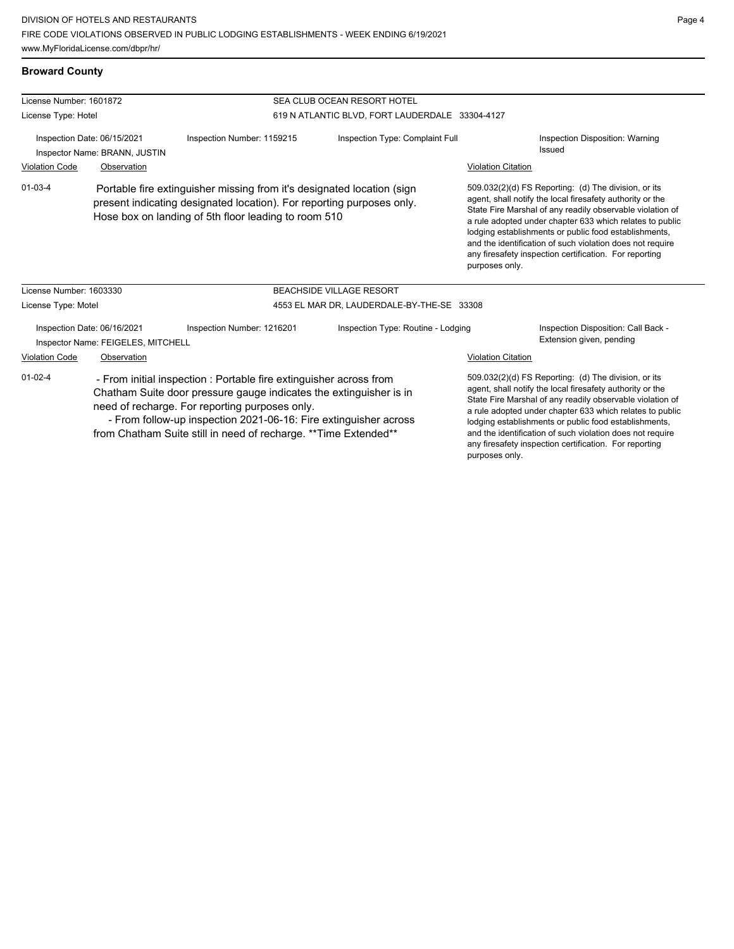**Broward County**

| License Number: 1601872                                           |                                                                                                                                                                                                         |                                                                                                                                                                                            | SEA CLUB OCEAN RESORT HOTEL                     |                                                                                                                                                                                                                                                                                                                                                                                                                                              |                                                                                                                                                                                                                                            |  |  |
|-------------------------------------------------------------------|---------------------------------------------------------------------------------------------------------------------------------------------------------------------------------------------------------|--------------------------------------------------------------------------------------------------------------------------------------------------------------------------------------------|-------------------------------------------------|----------------------------------------------------------------------------------------------------------------------------------------------------------------------------------------------------------------------------------------------------------------------------------------------------------------------------------------------------------------------------------------------------------------------------------------------|--------------------------------------------------------------------------------------------------------------------------------------------------------------------------------------------------------------------------------------------|--|--|
| License Type: Hotel                                               |                                                                                                                                                                                                         |                                                                                                                                                                                            | 619 N ATLANTIC BLVD, FORT LAUDERDALE 33304-4127 |                                                                                                                                                                                                                                                                                                                                                                                                                                              |                                                                                                                                                                                                                                            |  |  |
| Inspection Date: 06/15/2021<br>Inspector Name: BRANN, JUSTIN      |                                                                                                                                                                                                         | Inspection Number: 1159215                                                                                                                                                                 | Inspection Type: Complaint Full                 |                                                                                                                                                                                                                                                                                                                                                                                                                                              | Inspection Disposition: Warning<br><b>Issued</b>                                                                                                                                                                                           |  |  |
| <b>Violation Code</b>                                             | Observation                                                                                                                                                                                             |                                                                                                                                                                                            |                                                 | <b>Violation Citation</b>                                                                                                                                                                                                                                                                                                                                                                                                                    |                                                                                                                                                                                                                                            |  |  |
| $01 - 03 - 4$                                                     | Portable fire extinguisher missing from it's designated location (sign<br>present indicating designated location). For reporting purposes only.<br>Hose box on landing of 5th floor leading to room 510 |                                                                                                                                                                                            |                                                 | 509.032(2)(d) FS Reporting: (d) The division, or its<br>agent, shall notify the local firesafety authority or the<br>State Fire Marshal of any readily observable violation of<br>a rule adopted under chapter 633 which relates to public<br>lodging establishments or public food establishments,<br>and the identification of such violation does not require<br>any firesafety inspection certification. For reporting<br>purposes only. |                                                                                                                                                                                                                                            |  |  |
| License Number: 1603330                                           |                                                                                                                                                                                                         |                                                                                                                                                                                            | <b>BEACHSIDE VILLAGE RESORT</b>                 |                                                                                                                                                                                                                                                                                                                                                                                                                                              |                                                                                                                                                                                                                                            |  |  |
| License Type: Motel                                               |                                                                                                                                                                                                         |                                                                                                                                                                                            | 4553 EL MAR DR, LAUDERDALE-BY-THE-SE 33308      |                                                                                                                                                                                                                                                                                                                                                                                                                                              |                                                                                                                                                                                                                                            |  |  |
| Inspection Date: 06/16/2021<br>Inspector Name: FEIGELES, MITCHELL |                                                                                                                                                                                                         | Inspection Number: 1216201                                                                                                                                                                 | Inspection Type: Routine - Lodging              |                                                                                                                                                                                                                                                                                                                                                                                                                                              | Inspection Disposition: Call Back -<br>Extension given, pending                                                                                                                                                                            |  |  |
| <b>Violation Code</b>                                             | Observation                                                                                                                                                                                             |                                                                                                                                                                                            |                                                 | <b>Violation Citation</b>                                                                                                                                                                                                                                                                                                                                                                                                                    |                                                                                                                                                                                                                                            |  |  |
| $01 - 02 - 4$                                                     |                                                                                                                                                                                                         | - From initial inspection : Portable fire extinguisher across from<br>Chatham Suite door pressure gauge indicates the extinguisher is in<br>need of recharge. For reporting purposes only. |                                                 |                                                                                                                                                                                                                                                                                                                                                                                                                                              | 509.032(2)(d) FS Reporting: (d) The division, or its<br>agent, shall notify the local firesafety authority or the<br>State Fire Marshal of any readily observable violation of<br>a rule adopted under chapter 633 which relates to public |  |  |

 - From follow-up inspection 2021-06-16: Fire extinguisher across from Chatham Suite still in need of recharge. \*\*Time Extended\*\*

lodging establishments or public food establishments, and the identification of such violation does not require any firesafety inspection certification. For reporting purposes only.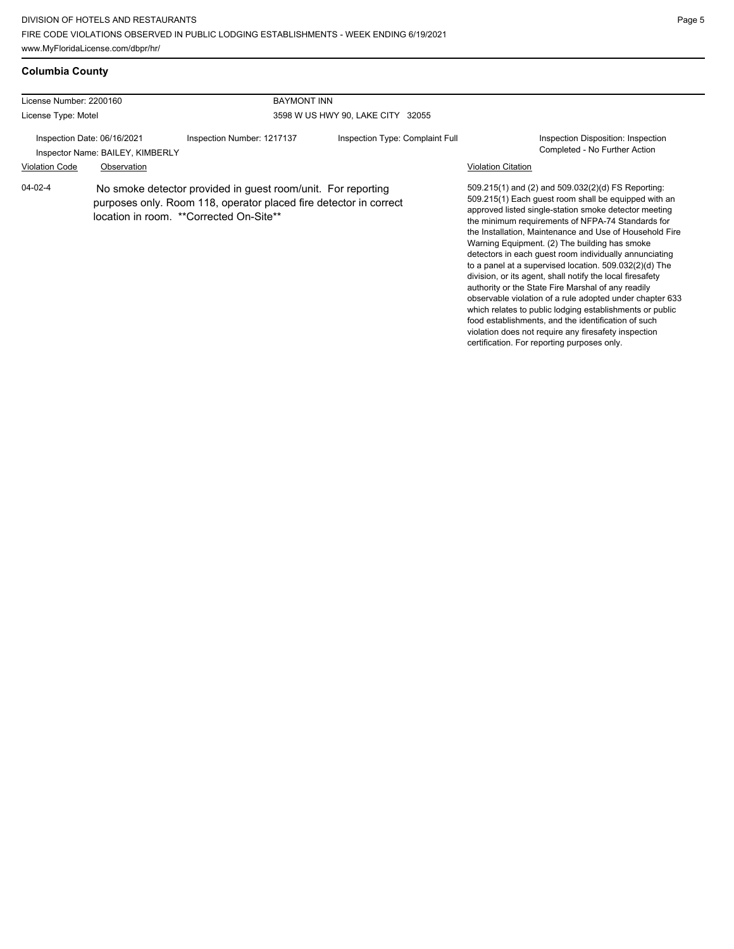### **Columbia County**

| License Number: 2200160     |                                                                                                                                                                              | <b>BAYMONT INN</b>         |                                   |                                                                                                                                                                                                                                                                                                                                                                                                                                                                                                                                                                             |
|-----------------------------|------------------------------------------------------------------------------------------------------------------------------------------------------------------------------|----------------------------|-----------------------------------|-----------------------------------------------------------------------------------------------------------------------------------------------------------------------------------------------------------------------------------------------------------------------------------------------------------------------------------------------------------------------------------------------------------------------------------------------------------------------------------------------------------------------------------------------------------------------------|
| License Type: Motel         |                                                                                                                                                                              |                            | 3598 W US HWY 90, LAKE CITY 32055 |                                                                                                                                                                                                                                                                                                                                                                                                                                                                                                                                                                             |
| Inspection Date: 06/16/2021 | Inspector Name: BAILEY, KIMBERLY                                                                                                                                             | Inspection Number: 1217137 | Inspection Type: Complaint Full   | Inspection Disposition: Inspection<br>Completed - No Further Action                                                                                                                                                                                                                                                                                                                                                                                                                                                                                                         |
| <b>Violation Code</b>       | Observation                                                                                                                                                                  |                            |                                   | <b>Violation Citation</b>                                                                                                                                                                                                                                                                                                                                                                                                                                                                                                                                                   |
| $04 - 02 - 4$               | No smoke detector provided in guest room/unit. For reporting<br>purposes only. Room 118, operator placed fire detector in correct<br>location in room. **Corrected On-Site** |                            |                                   | 509.215(1) and (2) and 509.032(2)(d) FS Reporting:<br>509.215(1) Each guest room shall be equipped with an<br>approved listed single-station smoke detector meeting<br>the minimum requirements of NFPA-74 Standards for<br>the Installation, Maintenance and Use of Household Fire<br>Warning Equipment. (2) The building has smoke<br>detectors in each quest room individually annunciating<br>to a panel at a supervised location. 509.032(2)(d) The<br>division, or its agent, shall notify the local firesafety<br>authority or the State Fire Marshal of any readily |

authority or the State Fire Marshal of any readily observable violation of a rule adopted under chapter 633 which relates to public lodging establishments or public food establishments, and the identification of such violation does not require any firesafety inspection certification. For reporting purposes only.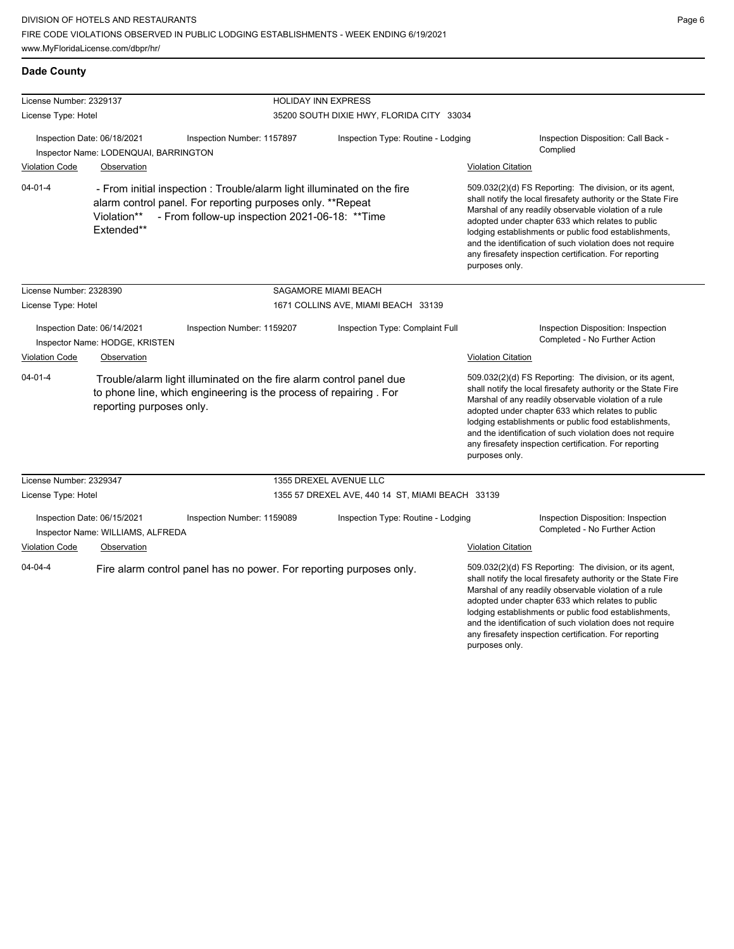DIVISION OF HOTELS AND RESTAURANTS FIRE CODE VIOLATIONS OBSERVED IN PUBLIC LODGING ESTABLISHMENTS - WEEK ENDING 6/19/2021 www.MyFloridaLicense.com/dbpr/hr/

**Dade County**

Page 6

and the identification of such violation does not require any firesafety inspection certification. For reporting

| License Number: 2329137                                                                                                                                                               |                           | <b>HOLIDAY INN EXPRESS</b>                                                                                                                                                              |                                                                                                                                                                                                                                                                                                                                                                                                                                          |                           |                                                                                                                                                                                                                                                                                                                                                                                                                        |  |
|---------------------------------------------------------------------------------------------------------------------------------------------------------------------------------------|---------------------------|-----------------------------------------------------------------------------------------------------------------------------------------------------------------------------------------|------------------------------------------------------------------------------------------------------------------------------------------------------------------------------------------------------------------------------------------------------------------------------------------------------------------------------------------------------------------------------------------------------------------------------------------|---------------------------|------------------------------------------------------------------------------------------------------------------------------------------------------------------------------------------------------------------------------------------------------------------------------------------------------------------------------------------------------------------------------------------------------------------------|--|
| License Type: Hotel                                                                                                                                                                   |                           | 35200 SOUTH DIXIE HWY, FLORIDA CITY 33034                                                                                                                                               |                                                                                                                                                                                                                                                                                                                                                                                                                                          |                           |                                                                                                                                                                                                                                                                                                                                                                                                                        |  |
| Inspection Date: 06/18/2021<br>Inspector Name: LODENQUAI, BARRINGTON<br><b>Violation Code</b><br>Observation                                                                          |                           | Inspection Number: 1157897                                                                                                                                                              | Inspection Type: Routine - Lodging<br><b>Violation Citation</b>                                                                                                                                                                                                                                                                                                                                                                          |                           | Inspection Disposition: Call Back -<br>Complied                                                                                                                                                                                                                                                                                                                                                                        |  |
| $04 - 01 - 4$                                                                                                                                                                         | Violation**<br>Extended** | - From initial inspection: Trouble/alarm light illuminated on the fire<br>alarm control panel. For reporting purposes only. **Repeat<br>- From follow-up inspection 2021-06-18: ** Time | 509.032(2)(d) FS Reporting: The division, or its agent,<br>shall notify the local firesafety authority or the State Fire<br>Marshal of any readily observable violation of a rule<br>adopted under chapter 633 which relates to public<br>lodging establishments or public food establishments,<br>and the identification of such violation does not require<br>any firesafety inspection certification. For reporting<br>purposes only. |                           |                                                                                                                                                                                                                                                                                                                                                                                                                        |  |
| License Number: 2328390                                                                                                                                                               |                           |                                                                                                                                                                                         | SAGAMORE MIAMI BEACH                                                                                                                                                                                                                                                                                                                                                                                                                     |                           |                                                                                                                                                                                                                                                                                                                                                                                                                        |  |
| License Type: Hotel                                                                                                                                                                   |                           |                                                                                                                                                                                         | 1671 COLLINS AVE, MIAMI BEACH 33139                                                                                                                                                                                                                                                                                                                                                                                                      |                           |                                                                                                                                                                                                                                                                                                                                                                                                                        |  |
| Inspection Date: 06/14/2021<br>Inspector Name: HODGE, KRISTEN                                                                                                                         |                           | Inspection Number: 1159207                                                                                                                                                              | Inspection Type: Complaint Full                                                                                                                                                                                                                                                                                                                                                                                                          |                           | Inspection Disposition: Inspection<br>Completed - No Further Action                                                                                                                                                                                                                                                                                                                                                    |  |
| <b>Violation Code</b>                                                                                                                                                                 | Observation               |                                                                                                                                                                                         |                                                                                                                                                                                                                                                                                                                                                                                                                                          | <b>Violation Citation</b> |                                                                                                                                                                                                                                                                                                                                                                                                                        |  |
| $04 - 01 - 4$<br>Trouble/alarm light illuminated on the fire alarm control panel due<br>to phone line, which engineering is the process of repairing. For<br>reporting purposes only. |                           |                                                                                                                                                                                         |                                                                                                                                                                                                                                                                                                                                                                                                                                          | purposes only.            | 509.032(2)(d) FS Reporting: The division, or its agent,<br>shall notify the local firesafety authority or the State Fire<br>Marshal of any readily observable violation of a rule<br>adopted under chapter 633 which relates to public<br>lodging establishments or public food establishments,<br>and the identification of such violation does not require<br>any firesafety inspection certification. For reporting |  |
| License Number: 2329347                                                                                                                                                               |                           |                                                                                                                                                                                         | 1355 DREXEL AVENUE LLC                                                                                                                                                                                                                                                                                                                                                                                                                   |                           |                                                                                                                                                                                                                                                                                                                                                                                                                        |  |
| License Type: Hotel                                                                                                                                                                   |                           |                                                                                                                                                                                         | 1355 57 DREXEL AVE, 440 14 ST, MIAMI BEACH 33139                                                                                                                                                                                                                                                                                                                                                                                         |                           |                                                                                                                                                                                                                                                                                                                                                                                                                        |  |
| Inspection Date: 06/15/2021<br>Inspector Name: WILLIAMS, ALFREDA                                                                                                                      |                           | Inspection Number: 1159089                                                                                                                                                              | Inspection Type: Routine - Lodging                                                                                                                                                                                                                                                                                                                                                                                                       |                           | Inspection Disposition: Inspection<br>Completed - No Further Action                                                                                                                                                                                                                                                                                                                                                    |  |
| <b>Violation Code</b>                                                                                                                                                                 | Observation               |                                                                                                                                                                                         |                                                                                                                                                                                                                                                                                                                                                                                                                                          | <b>Violation Citation</b> |                                                                                                                                                                                                                                                                                                                                                                                                                        |  |
| $04 - 04 - 4$                                                                                                                                                                         |                           | Fire alarm control panel has no power. For reporting purposes only.                                                                                                                     |                                                                                                                                                                                                                                                                                                                                                                                                                                          |                           | 509.032(2)(d) FS Reporting: The division, or its agent,<br>shall notify the local firesafety authority or the State Fire<br>Marshal of any readily observable violation of a rule<br>adopted under chapter 633 which relates to public<br>lodging establishments or public food establishments,                                                                                                                        |  |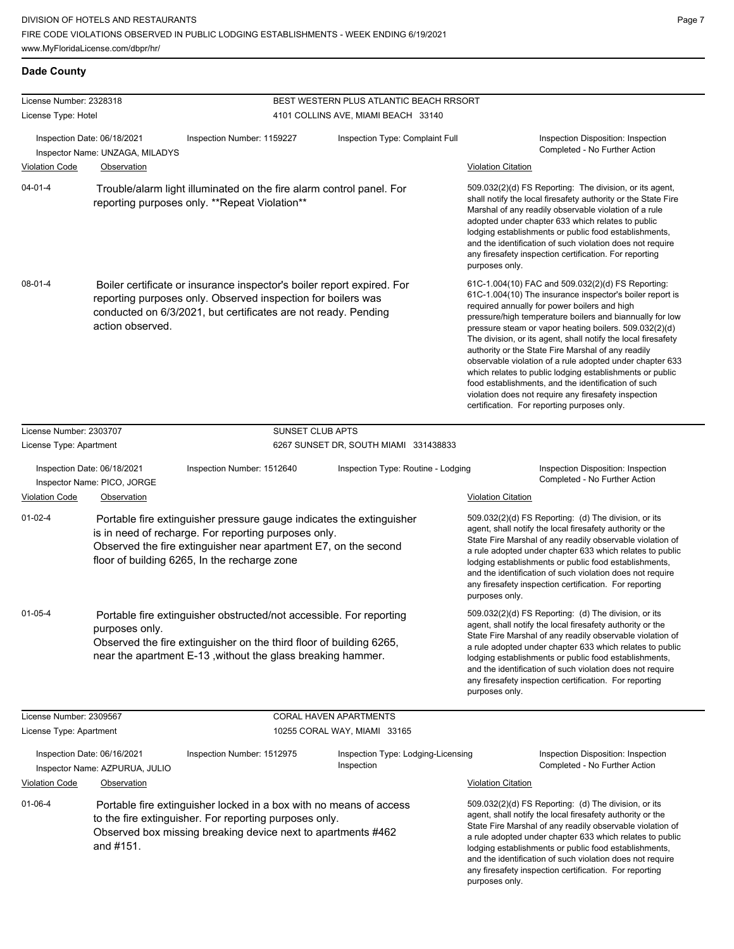# **Dade County**

| License Number: 2328318                                                                                                                |                                                                                     |                                                                                                                                                                                                                                                 | BEST WESTERN PLUS ATLANTIC BEACH RRSORT                                                                                                                                                                                                                                                                                                                                                                                                  |                                                                                                                                                                                                                                                                                                                                                                                                                                                                                                                                                                                                                                                                                                  |
|----------------------------------------------------------------------------------------------------------------------------------------|-------------------------------------------------------------------------------------|-------------------------------------------------------------------------------------------------------------------------------------------------------------------------------------------------------------------------------------------------|------------------------------------------------------------------------------------------------------------------------------------------------------------------------------------------------------------------------------------------------------------------------------------------------------------------------------------------------------------------------------------------------------------------------------------------|--------------------------------------------------------------------------------------------------------------------------------------------------------------------------------------------------------------------------------------------------------------------------------------------------------------------------------------------------------------------------------------------------------------------------------------------------------------------------------------------------------------------------------------------------------------------------------------------------------------------------------------------------------------------------------------------------|
| License Type: Hotel                                                                                                                    |                                                                                     |                                                                                                                                                                                                                                                 | 4101 COLLINS AVE, MIAMI BEACH 33140                                                                                                                                                                                                                                                                                                                                                                                                      |                                                                                                                                                                                                                                                                                                                                                                                                                                                                                                                                                                                                                                                                                                  |
| <b>Violation Code</b>                                                                                                                  | Inspection Date: 06/18/2021<br>Inspector Name: UNZAGA, MILADYS<br>Observation       | Inspection Type: Complaint Full<br>Inspection Number: 1159227                                                                                                                                                                                   |                                                                                                                                                                                                                                                                                                                                                                                                                                          | Inspection Disposition: Inspection<br>Completed - No Further Action<br><b>Violation Citation</b>                                                                                                                                                                                                                                                                                                                                                                                                                                                                                                                                                                                                 |
| $04 - 01 - 4$<br>Trouble/alarm light illuminated on the fire alarm control panel. For<br>reporting purposes only. **Repeat Violation** |                                                                                     |                                                                                                                                                                                                                                                 | 509.032(2)(d) FS Reporting: The division, or its agent,<br>shall notify the local firesafety authority or the State Fire<br>Marshal of any readily observable violation of a rule<br>adopted under chapter 633 which relates to public<br>lodging establishments or public food establishments,<br>and the identification of such violation does not require<br>any firesafety inspection certification. For reporting<br>purposes only. |                                                                                                                                                                                                                                                                                                                                                                                                                                                                                                                                                                                                                                                                                                  |
| $08 - 01 - 4$                                                                                                                          | action observed.                                                                    | Boiler certificate or insurance inspector's boiler report expired. For<br>reporting purposes only. Observed inspection for boilers was<br>conducted on 6/3/2021, but certificates are not ready. Pending                                        |                                                                                                                                                                                                                                                                                                                                                                                                                                          | 61C-1.004(10) FAC and 509.032(2)(d) FS Reporting:<br>61C-1.004(10) The insurance inspector's boiler report is<br>required annually for power boilers and high<br>pressure/high temperature boilers and biannually for low<br>pressure steam or vapor heating boilers. 509.032(2)(d)<br>The division, or its agent, shall notify the local firesafety<br>authority or the State Fire Marshal of any readily<br>observable violation of a rule adopted under chapter 633<br>which relates to public lodging establishments or public<br>food establishments, and the identification of such<br>violation does not require any firesafety inspection<br>certification. For reporting purposes only. |
| License Number: 2303707                                                                                                                |                                                                                     | <b>SUNSET CLUB APTS</b>                                                                                                                                                                                                                         |                                                                                                                                                                                                                                                                                                                                                                                                                                          |                                                                                                                                                                                                                                                                                                                                                                                                                                                                                                                                                                                                                                                                                                  |
| License Type: Apartment                                                                                                                |                                                                                     |                                                                                                                                                                                                                                                 | 6267 SUNSET DR, SOUTH MIAMI 331438833                                                                                                                                                                                                                                                                                                                                                                                                    |                                                                                                                                                                                                                                                                                                                                                                                                                                                                                                                                                                                                                                                                                                  |
|                                                                                                                                        | Inspection Date: 06/18/2021<br>Inspector Name: PICO, JORGE                          | Inspection Number: 1512640                                                                                                                                                                                                                      | Inspection Type: Routine - Lodging                                                                                                                                                                                                                                                                                                                                                                                                       | Inspection Disposition: Inspection<br>Completed - No Further Action                                                                                                                                                                                                                                                                                                                                                                                                                                                                                                                                                                                                                              |
| <b>Violation Code</b>                                                                                                                  | Observation                                                                         |                                                                                                                                                                                                                                                 |                                                                                                                                                                                                                                                                                                                                                                                                                                          | <b>Violation Citation</b>                                                                                                                                                                                                                                                                                                                                                                                                                                                                                                                                                                                                                                                                        |
| $01 - 02 - 4$                                                                                                                          |                                                                                     | Portable fire extinguisher pressure gauge indicates the extinguisher<br>is in need of recharge. For reporting purposes only.<br>Observed the fire extinguisher near apartment E7, on the second<br>floor of building 6265, In the recharge zone |                                                                                                                                                                                                                                                                                                                                                                                                                                          | 509.032(2)(d) FS Reporting: (d) The division, or its<br>agent, shall notify the local firesafety authority or the<br>State Fire Marshal of any readily observable violation of<br>a rule adopted under chapter 633 which relates to public<br>lodging establishments or public food establishments,<br>and the identification of such violation does not require<br>any firesafety inspection certification. For reporting<br>purposes only.                                                                                                                                                                                                                                                     |
| $01 - 05 - 4$                                                                                                                          | purposes only.                                                                      | Portable fire extinguisher obstructed/not accessible. For reporting<br>Observed the fire extinguisher on the third floor of building 6265,<br>near the apartment E-13, without the glass breaking hammer.                                       |                                                                                                                                                                                                                                                                                                                                                                                                                                          | 509.032(2)(d) FS Reporting: (d) The division, or its<br>agent, shall notify the local firesafety authority or the<br>State Fire Marshal of any readily observable violation of<br>a rule adopted under chapter 633 which relates to public<br>lodging establishments or public food establishments,<br>and the identification of such violation does not require<br>any firesafety inspection certification. For reporting<br>purposes only.                                                                                                                                                                                                                                                     |
| License Number: 2309567                                                                                                                |                                                                                     |                                                                                                                                                                                                                                                 | CORAL HAVEN APARTMENTS                                                                                                                                                                                                                                                                                                                                                                                                                   |                                                                                                                                                                                                                                                                                                                                                                                                                                                                                                                                                                                                                                                                                                  |
| License Type: Apartment                                                                                                                |                                                                                     |                                                                                                                                                                                                                                                 | 10255 CORAL WAY, MIAMI 33165                                                                                                                                                                                                                                                                                                                                                                                                             |                                                                                                                                                                                                                                                                                                                                                                                                                                                                                                                                                                                                                                                                                                  |
| <b>Violation Code</b>                                                                                                                  | Inspection Date: 06/16/2021<br>Inspector Name: AZPURUA, JULIO<br><b>Observation</b> | Inspection Number: 1512975                                                                                                                                                                                                                      | Inspection Type: Lodging-Licensing<br>Inspection                                                                                                                                                                                                                                                                                                                                                                                         | Inspection Disposition: Inspection<br>Completed - No Further Action<br><b>Violation Citation</b>                                                                                                                                                                                                                                                                                                                                                                                                                                                                                                                                                                                                 |
| $01 - 06 - 4$                                                                                                                          | and #151.                                                                           | Portable fire extinguisher locked in a box with no means of access<br>to the fire extinguisher. For reporting purposes only.<br>Observed box missing breaking device next to apartments #462                                                    |                                                                                                                                                                                                                                                                                                                                                                                                                                          | 509.032(2)(d) FS Reporting: (d) The division, or its<br>agent, shall notify the local firesafety authority or the<br>State Fire Marshal of any readily observable violation of<br>a rule adopted under chapter 633 which relates to public<br>lodging establishments or public food establishments,<br>and the identification of such violation does not require<br>any firesafety inspection certification. For reporting<br>purposes only.                                                                                                                                                                                                                                                     |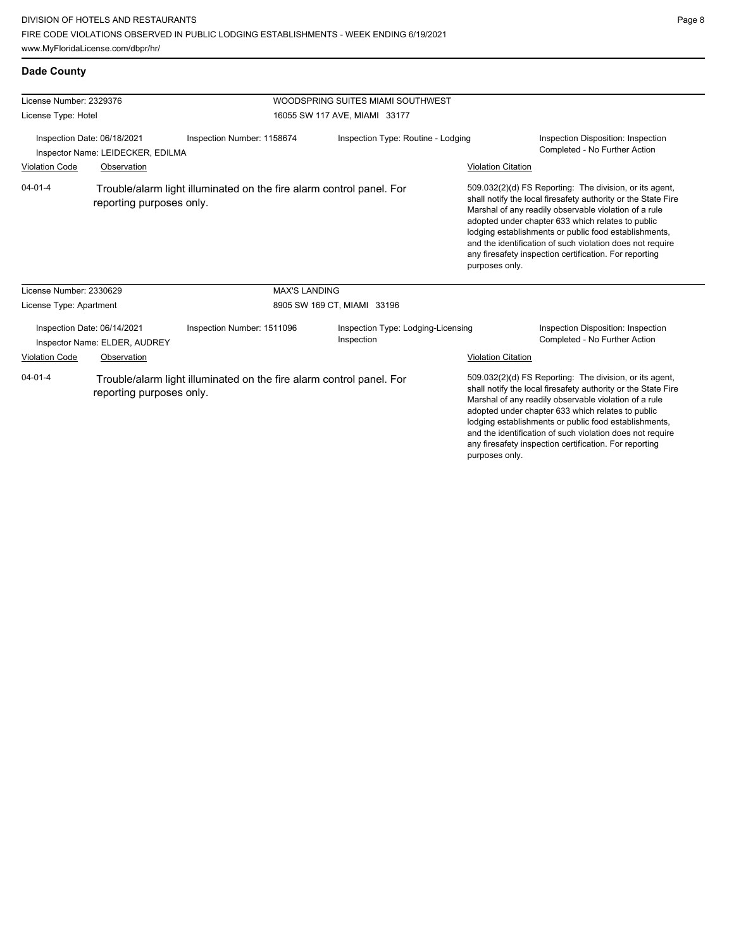| License Number: 2329376                                                                                           |                                                              |                                                                      | WOODSPRING SUITES MIAMI SOUTHWEST                |                           |                                                                                                                                                                                                                                                                                                                                                                                                                        |
|-------------------------------------------------------------------------------------------------------------------|--------------------------------------------------------------|----------------------------------------------------------------------|--------------------------------------------------|---------------------------|------------------------------------------------------------------------------------------------------------------------------------------------------------------------------------------------------------------------------------------------------------------------------------------------------------------------------------------------------------------------------------------------------------------------|
| License Type: Hotel                                                                                               |                                                              |                                                                      | 16055 SW 117 AVE, MIAMI 33177                    |                           |                                                                                                                                                                                                                                                                                                                                                                                                                        |
| Inspection Date: 06/18/2021<br>Inspector Name: LEIDECKER, EDILMA                                                  |                                                              | Inspection Number: 1158674                                           | Inspection Type: Routine - Lodging               |                           | Inspection Disposition: Inspection<br>Completed - No Further Action                                                                                                                                                                                                                                                                                                                                                    |
| <b>Violation Code</b>                                                                                             | Observation                                                  |                                                                      |                                                  | <b>Violation Citation</b> |                                                                                                                                                                                                                                                                                                                                                                                                                        |
| $04 - 01 - 4$                                                                                                     | reporting purposes only.                                     | Trouble/alarm light illuminated on the fire alarm control panel. For |                                                  | purposes only.            | 509.032(2)(d) FS Reporting: The division, or its agent,<br>shall notify the local firesafety authority or the State Fire<br>Marshal of any readily observable violation of a rule<br>adopted under chapter 633 which relates to public<br>lodging establishments or public food establishments,<br>and the identification of such violation does not require<br>any firesafety inspection certification. For reporting |
| License Number: 2330629                                                                                           |                                                              | <b>MAX'S LANDING</b>                                                 |                                                  |                           |                                                                                                                                                                                                                                                                                                                                                                                                                        |
| License Type: Apartment                                                                                           |                                                              |                                                                      | 8905 SW 169 CT, MIAMI 33196                      |                           |                                                                                                                                                                                                                                                                                                                                                                                                                        |
|                                                                                                                   | Inspection Date: 06/14/2021<br>Inspector Name: ELDER, AUDREY | Inspection Number: 1511096                                           | Inspection Type: Lodging-Licensing<br>Inspection |                           | Inspection Disposition: Inspection<br>Completed - No Further Action                                                                                                                                                                                                                                                                                                                                                    |
| <b>Violation Code</b>                                                                                             | Observation                                                  |                                                                      |                                                  | <b>Violation Citation</b> |                                                                                                                                                                                                                                                                                                                                                                                                                        |
| $04 - 01 - 4$<br>Trouble/alarm light illuminated on the fire alarm control panel. For<br>reporting purposes only. |                                                              |                                                                      |                                                  |                           | 509.032(2)(d) FS Reporting: The division, or its agent,<br>shall notify the local firesafety authority or the State Fire<br>Marshal of any readily observable violation of a rule<br>adopted under chapter 633 which relates to public<br>lodging establishments or public food establishments,<br>and the identification of such violation does not require<br>any firesafety inspection certification. For reporting |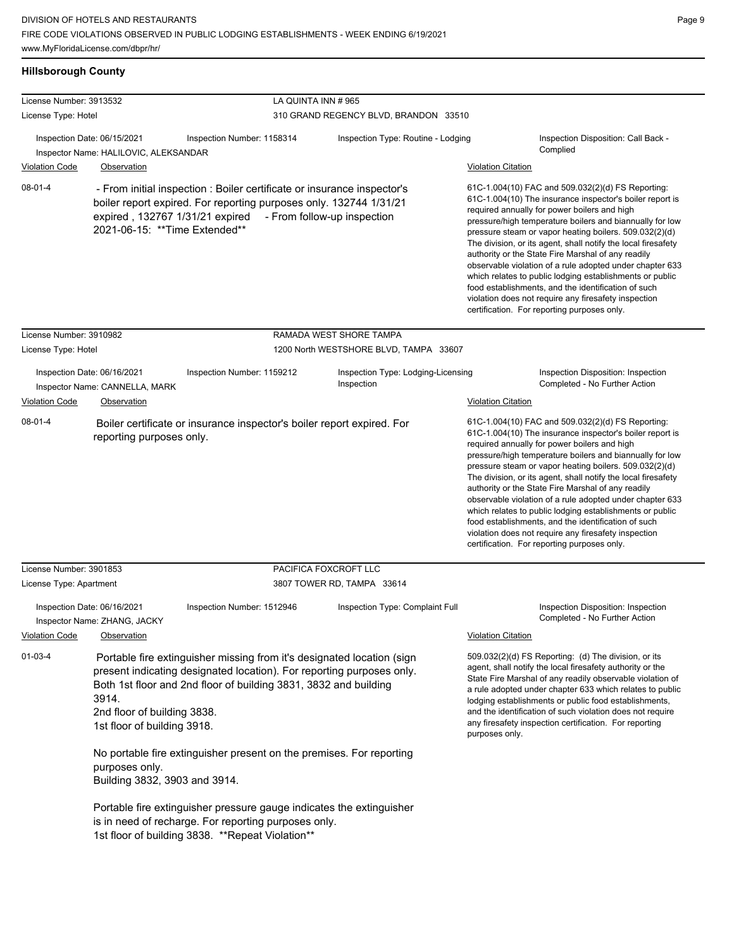| <b>Hillsborough County</b>                       |                                                                                                                        |                                                                                                                                                                                                                                                                                                                                                                                                                                                                                  |                                                                   |                                                                                                                                                                                                                                                                                                                                                                                                                                                                                                                                                                                                                                                                                                  |
|--------------------------------------------------|------------------------------------------------------------------------------------------------------------------------|----------------------------------------------------------------------------------------------------------------------------------------------------------------------------------------------------------------------------------------------------------------------------------------------------------------------------------------------------------------------------------------------------------------------------------------------------------------------------------|-------------------------------------------------------------------|--------------------------------------------------------------------------------------------------------------------------------------------------------------------------------------------------------------------------------------------------------------------------------------------------------------------------------------------------------------------------------------------------------------------------------------------------------------------------------------------------------------------------------------------------------------------------------------------------------------------------------------------------------------------------------------------------|
| License Number: 3913532                          |                                                                                                                        | LA QUINTA INN #965                                                                                                                                                                                                                                                                                                                                                                                                                                                               |                                                                   |                                                                                                                                                                                                                                                                                                                                                                                                                                                                                                                                                                                                                                                                                                  |
| License Type: Hotel                              |                                                                                                                        |                                                                                                                                                                                                                                                                                                                                                                                                                                                                                  | 310 GRAND REGENCY BLVD, BRANDON 33510                             |                                                                                                                                                                                                                                                                                                                                                                                                                                                                                                                                                                                                                                                                                                  |
| <b>Violation Code</b>                            | Inspection Date: 06/15/2021<br>Inspector Name: HALILOVIC, ALEKSANDAR<br>Observation                                    | Inspection Number: 1158314                                                                                                                                                                                                                                                                                                                                                                                                                                                       | Inspection Type: Routine - Lodging                                | Inspection Disposition: Call Back -<br>Complied<br><b>Violation Citation</b>                                                                                                                                                                                                                                                                                                                                                                                                                                                                                                                                                                                                                     |
| $08 - 01 - 4$                                    | expired, 132767 1/31/21 expired<br>2021-06-15: ** Time Extended**                                                      | - From initial inspection : Boiler certificate or insurance inspector's<br>boiler report expired. For reporting purposes only. 132744 1/31/21                                                                                                                                                                                                                                                                                                                                    | - From follow-up inspection                                       | 61C-1.004(10) FAC and 509.032(2)(d) FS Reporting:<br>61C-1.004(10) The insurance inspector's boiler report is<br>required annually for power boilers and high<br>pressure/high temperature boilers and biannually for low<br>pressure steam or vapor heating boilers. 509.032(2)(d)<br>The division, or its agent, shall notify the local firesafety<br>authority or the State Fire Marshal of any readily<br>observable violation of a rule adopted under chapter 633<br>which relates to public lodging establishments or public<br>food establishments, and the identification of such<br>violation does not require any firesafety inspection<br>certification. For reporting purposes only. |
| License Number: 3910982<br>License Type: Hotel   |                                                                                                                        |                                                                                                                                                                                                                                                                                                                                                                                                                                                                                  | RAMADA WEST SHORE TAMPA<br>1200 North WESTSHORE BLVD, TAMPA 33607 |                                                                                                                                                                                                                                                                                                                                                                                                                                                                                                                                                                                                                                                                                                  |
|                                                  | Inspection Date: 06/16/2021<br>Inspector Name: CANNELLA, MARK                                                          | Inspection Number: 1159212                                                                                                                                                                                                                                                                                                                                                                                                                                                       | Inspection Type: Lodging-Licensing<br>Inspection                  | Inspection Disposition: Inspection<br>Completed - No Further Action                                                                                                                                                                                                                                                                                                                                                                                                                                                                                                                                                                                                                              |
| <b>Violation Code</b>                            | Observation                                                                                                            |                                                                                                                                                                                                                                                                                                                                                                                                                                                                                  |                                                                   | <b>Violation Citation</b>                                                                                                                                                                                                                                                                                                                                                                                                                                                                                                                                                                                                                                                                        |
| $08 - 01 - 4$                                    | reporting purposes only.                                                                                               | Boiler certificate or insurance inspector's boiler report expired. For                                                                                                                                                                                                                                                                                                                                                                                                           |                                                                   | 61C-1.004(10) FAC and 509.032(2)(d) FS Reporting:<br>61C-1.004(10) The insurance inspector's boiler report is<br>required annually for power boilers and high<br>pressure/high temperature boilers and biannually for low<br>pressure steam or vapor heating boilers. 509.032(2)(d)<br>The division, or its agent, shall notify the local firesafety<br>authority or the State Fire Marshal of any readily<br>observable violation of a rule adopted under chapter 633<br>which relates to public lodging establishments or public<br>food establishments, and the identification of such<br>violation does not require any firesafety inspection<br>certification. For reporting purposes only. |
| License Number: 3901853                          |                                                                                                                        |                                                                                                                                                                                                                                                                                                                                                                                                                                                                                  | PACIFICA FOXCROFT LLC                                             |                                                                                                                                                                                                                                                                                                                                                                                                                                                                                                                                                                                                                                                                                                  |
| License Type: Apartment<br><b>Violation Code</b> | Inspection Date: 06/16/2021<br>Inspector Name: ZHANG, JACKY<br>Observation                                             | Inspection Number: 1512946                                                                                                                                                                                                                                                                                                                                                                                                                                                       | 3807 TOWER RD, TAMPA 33614<br>Inspection Type: Complaint Full     | Inspection Disposition: Inspection<br>Completed - No Further Action<br><b>Violation Citation</b>                                                                                                                                                                                                                                                                                                                                                                                                                                                                                                                                                                                                 |
| $01 - 03 - 4$                                    | 3914.<br>2nd floor of building 3838.<br>1st floor of building 3918.<br>purposes only.<br>Building 3832, 3903 and 3914. | Portable fire extinguisher missing from it's designated location (sign<br>present indicating designated location). For reporting purposes only.<br>Both 1st floor and 2nd floor of building 3831, 3832 and building<br>No portable fire extinguisher present on the premises. For reporting<br>Portable fire extinguisher pressure gauge indicates the extinguisher<br>is in need of recharge. For reporting purposes only.<br>1st floor of building 3838. ** Repeat Violation** |                                                                   | 509.032(2)(d) FS Reporting: (d) The division, or its<br>agent, shall notify the local firesafety authority or the<br>State Fire Marshal of any readily observable violation of<br>a rule adopted under chapter 633 which relates to public<br>lodging establishments or public food establishments,<br>and the identification of such violation does not require<br>any firesafety inspection certification. For reporting<br>purposes only.                                                                                                                                                                                                                                                     |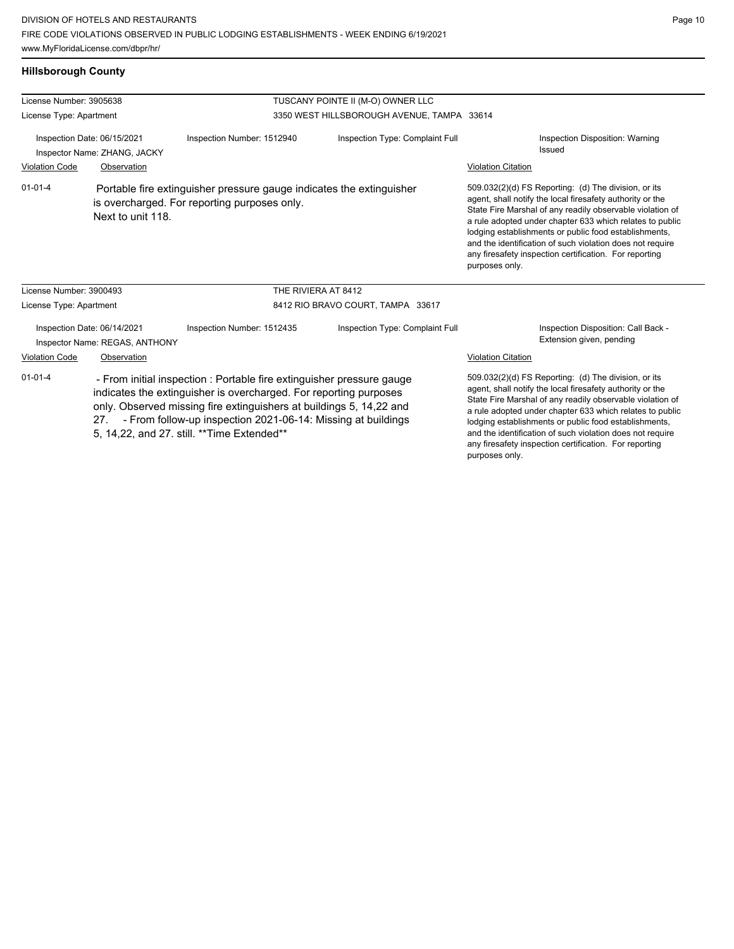**Hillsborough County**

any firesafety inspection certification. For reporting

| License Number: 3905638                                                                                                                                                                                                                                                                                                                                   |                                                             |                                                                                                                      | TUSCANY POINTE II (M-O) OWNER LLC                                                                                                                                                                                                                                                                                                                                |                                                                                                                                                                                                                                                                                                                                                                                                                                              |
|-----------------------------------------------------------------------------------------------------------------------------------------------------------------------------------------------------------------------------------------------------------------------------------------------------------------------------------------------------------|-------------------------------------------------------------|----------------------------------------------------------------------------------------------------------------------|------------------------------------------------------------------------------------------------------------------------------------------------------------------------------------------------------------------------------------------------------------------------------------------------------------------------------------------------------------------|----------------------------------------------------------------------------------------------------------------------------------------------------------------------------------------------------------------------------------------------------------------------------------------------------------------------------------------------------------------------------------------------------------------------------------------------|
| License Type: Apartment                                                                                                                                                                                                                                                                                                                                   |                                                             |                                                                                                                      | 3350 WEST HILLSBOROUGH AVENUE, TAMPA 33614                                                                                                                                                                                                                                                                                                                       |                                                                                                                                                                                                                                                                                                                                                                                                                                              |
|                                                                                                                                                                                                                                                                                                                                                           | Inspection Date: 06/15/2021<br>Inspector Name: ZHANG, JACKY | Inspection Number: 1512940                                                                                           | Inspection Type: Complaint Full                                                                                                                                                                                                                                                                                                                                  | Inspection Disposition: Warning<br>Issued                                                                                                                                                                                                                                                                                                                                                                                                    |
| <b>Violation Code</b>                                                                                                                                                                                                                                                                                                                                     | Observation                                                 |                                                                                                                      |                                                                                                                                                                                                                                                                                                                                                                  | <b>Violation Citation</b>                                                                                                                                                                                                                                                                                                                                                                                                                    |
| $01 - 01 - 4$                                                                                                                                                                                                                                                                                                                                             | Next to unit 118.                                           | Portable fire extinguisher pressure gauge indicates the extinguisher<br>is overcharged. For reporting purposes only. |                                                                                                                                                                                                                                                                                                                                                                  | 509.032(2)(d) FS Reporting: (d) The division, or its<br>agent, shall notify the local firesafety authority or the<br>State Fire Marshal of any readily observable violation of<br>a rule adopted under chapter 633 which relates to public<br>lodging establishments or public food establishments,<br>and the identification of such violation does not require<br>any firesafety inspection certification. For reporting<br>purposes only. |
| License Number: 3900493                                                                                                                                                                                                                                                                                                                                   |                                                             | THE RIVIERA AT 8412                                                                                                  |                                                                                                                                                                                                                                                                                                                                                                  |                                                                                                                                                                                                                                                                                                                                                                                                                                              |
| License Type: Apartment                                                                                                                                                                                                                                                                                                                                   |                                                             |                                                                                                                      | 8412 RIO BRAVO COURT, TAMPA 33617                                                                                                                                                                                                                                                                                                                                |                                                                                                                                                                                                                                                                                                                                                                                                                                              |
| Inspection Date: 06/14/2021<br>Inspector Name: REGAS, ANTHONY                                                                                                                                                                                                                                                                                             |                                                             | Inspection Number: 1512435                                                                                           | Inspection Type: Complaint Full                                                                                                                                                                                                                                                                                                                                  | Inspection Disposition: Call Back -<br>Extension given, pending                                                                                                                                                                                                                                                                                                                                                                              |
| <b>Violation Code</b>                                                                                                                                                                                                                                                                                                                                     | Observation                                                 |                                                                                                                      |                                                                                                                                                                                                                                                                                                                                                                  | <b>Violation Citation</b>                                                                                                                                                                                                                                                                                                                                                                                                                    |
| $01 - 01 - 4$<br>- From initial inspection : Portable fire extinguisher pressure gauge<br>indicates the extinguisher is overcharged. For reporting purposes<br>only. Observed missing fire extinguishers at buildings 5, 14,22 and<br>- From follow-up inspection 2021-06-14: Missing at buildings<br>27.<br>5, 14, 22, and 27. still. ** Time Extended** |                                                             |                                                                                                                      | 509.032(2)(d) FS Reporting: (d) The division, or its<br>agent, shall notify the local firesafety authority or the<br>State Fire Marshal of any readily observable violation of<br>a rule adopted under chapter 633 which relates to public<br>lodging establishments or public food establishments,<br>and the identification of such violation does not require |                                                                                                                                                                                                                                                                                                                                                                                                                                              |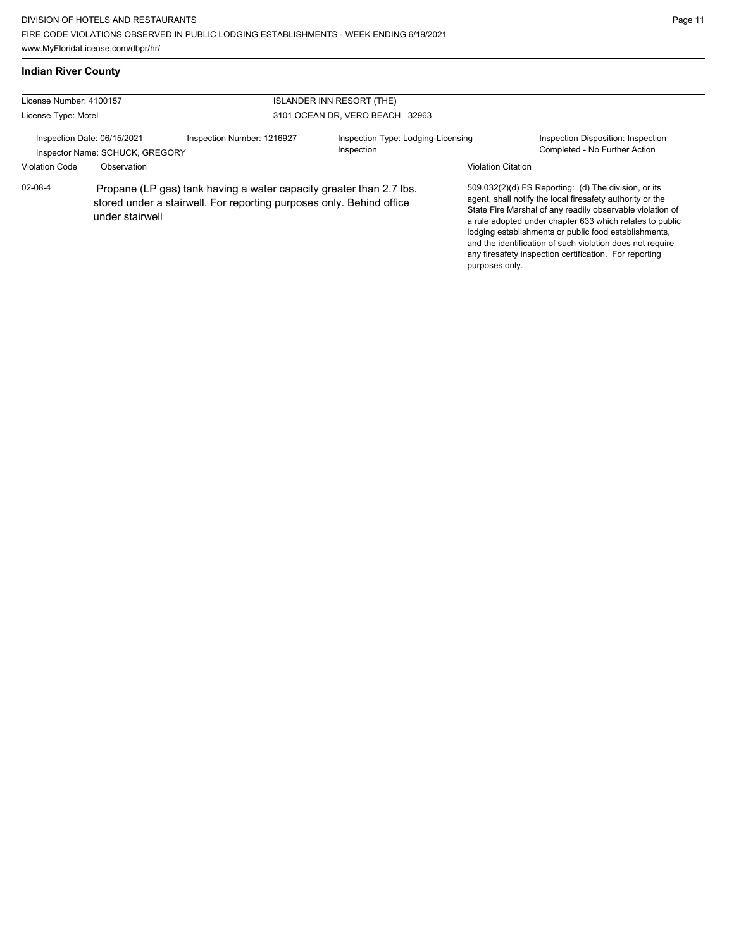# **Indian River County**

| License Number: 4100157                                        |                 | <b>ISLANDER INN RESORT (THE)</b>                                                                                                            |                                                  |                           |                                                                                                                                                                                                                                                                                                                                                                                                                            |
|----------------------------------------------------------------|-----------------|---------------------------------------------------------------------------------------------------------------------------------------------|--------------------------------------------------|---------------------------|----------------------------------------------------------------------------------------------------------------------------------------------------------------------------------------------------------------------------------------------------------------------------------------------------------------------------------------------------------------------------------------------------------------------------|
| License Type: Motel                                            |                 |                                                                                                                                             | 3101 OCEAN DR, VERO BEACH 32963                  |                           |                                                                                                                                                                                                                                                                                                                                                                                                                            |
| Inspection Date: 06/15/2021<br>Inspector Name: SCHUCK, GREGORY |                 | Inspection Number: 1216927                                                                                                                  | Inspection Type: Lodging-Licensing<br>Inspection |                           | Inspection Disposition: Inspection<br>Completed - No Further Action                                                                                                                                                                                                                                                                                                                                                        |
| <b>Violation Code</b>                                          | Observation     |                                                                                                                                             |                                                  | <b>Violation Citation</b> |                                                                                                                                                                                                                                                                                                                                                                                                                            |
| $02 - 08 - 4$                                                  | under stairwell | Propane (LP gas) tank having a water capacity greater than 2.7 lbs.<br>stored under a stairwell. For reporting purposes only. Behind office |                                                  | purposes only.            | 509.032(2)(d) FS Reporting: (d) The division, or its<br>agent, shall notify the local firesafety authority or the<br>State Fire Marshal of any readily observable violation of<br>a rule adopted under chapter 633 which relates to public<br>lodging establishments or public food establishments,<br>and the identification of such violation does not require<br>any firesafety inspection certification. For reporting |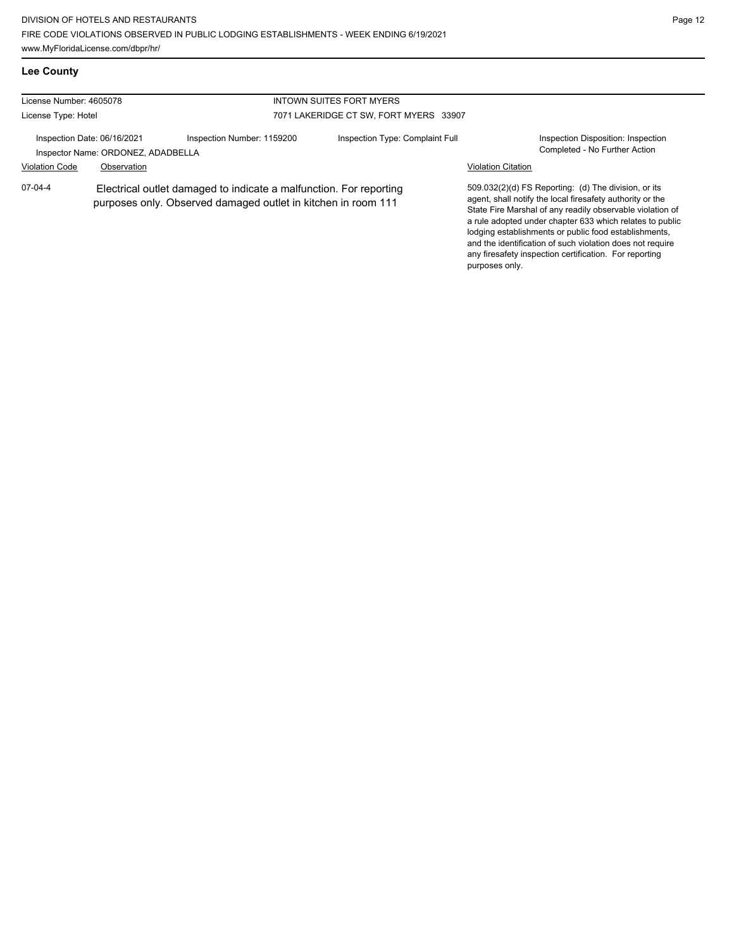| <b>Lee County</b>                                                                                                                                |             |                            |                                        |                                                                                                                                                                                                                                                                                                                                                                                                                            |                                                                     |
|--------------------------------------------------------------------------------------------------------------------------------------------------|-------------|----------------------------|----------------------------------------|----------------------------------------------------------------------------------------------------------------------------------------------------------------------------------------------------------------------------------------------------------------------------------------------------------------------------------------------------------------------------------------------------------------------------|---------------------------------------------------------------------|
| License Number: 4605078                                                                                                                          |             |                            | INTOWN SUITES FORT MYERS               |                                                                                                                                                                                                                                                                                                                                                                                                                            |                                                                     |
| License Type: Hotel                                                                                                                              |             |                            | 7071 LAKERIDGE CT SW, FORT MYERS 33907 |                                                                                                                                                                                                                                                                                                                                                                                                                            |                                                                     |
| Inspection Date: 06/16/2021<br>Inspector Name: ORDONEZ, ADADBELLA                                                                                |             | Inspection Number: 1159200 | Inspection Type: Complaint Full        |                                                                                                                                                                                                                                                                                                                                                                                                                            | Inspection Disposition: Inspection<br>Completed - No Further Action |
| <b>Violation Code</b>                                                                                                                            | Observation |                            |                                        | <b>Violation Citation</b>                                                                                                                                                                                                                                                                                                                                                                                                  |                                                                     |
| $07-04-4$<br>Electrical outlet damaged to indicate a malfunction. For reporting<br>purposes only. Observed damaged outlet in kitchen in room 111 |             |                            | purposes only.                         | 509.032(2)(d) FS Reporting: (d) The division, or its<br>agent, shall notify the local firesafety authority or the<br>State Fire Marshal of any readily observable violation of<br>a rule adopted under chapter 633 which relates to public<br>lodging establishments or public food establishments.<br>and the identification of such violation does not require<br>any firesafety inspection certification. For reporting |                                                                     |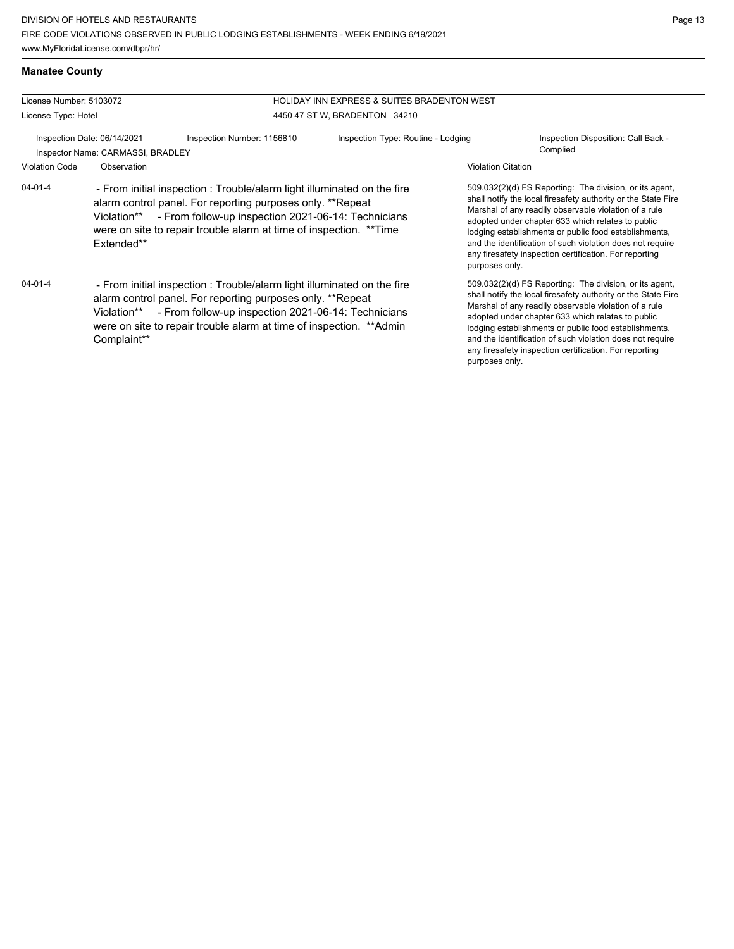| <b>Manatee County</b> |  |
|-----------------------|--|
|                       |  |

| License Number: 5103072                                          |                           |                                                                                                                                                                                                                                                                                  | <b>HOLIDAY INN EXPRESS &amp; SUITES BRADENTON WEST</b> |                                                 |                                                                                                                                                                                                                                                                                                                                                                                                                        |
|------------------------------------------------------------------|---------------------------|----------------------------------------------------------------------------------------------------------------------------------------------------------------------------------------------------------------------------------------------------------------------------------|--------------------------------------------------------|-------------------------------------------------|------------------------------------------------------------------------------------------------------------------------------------------------------------------------------------------------------------------------------------------------------------------------------------------------------------------------------------------------------------------------------------------------------------------------|
| License Type: Hotel                                              |                           |                                                                                                                                                                                                                                                                                  | 4450 47 ST W, BRADENTON 34210                          |                                                 |                                                                                                                                                                                                                                                                                                                                                                                                                        |
| Inspection Date: 06/14/2021<br>Inspector Name: CARMASSI, BRADLEY |                           | Inspection Number: 1156810<br>Inspection Type: Routine - Lodging                                                                                                                                                                                                                 |                                                        | Inspection Disposition: Call Back -<br>Complied |                                                                                                                                                                                                                                                                                                                                                                                                                        |
| <b>Violation Code</b><br>$04 - 01 - 4$                           | Observation<br>Extended** | - From initial inspection : Trouble/alarm light illuminated on the fire<br>alarm control panel. For reporting purposes only. **Repeat<br>Violation** - From follow-up inspection 2021-06-14: Technicians<br>were on site to repair trouble alarm at time of inspection. **Time   |                                                        | <b>Violation Citation</b><br>purposes only.     | 509.032(2)(d) FS Reporting: The division, or its agent,<br>shall notify the local firesafety authority or the State Fire<br>Marshal of any readily observable violation of a rule<br>adopted under chapter 633 which relates to public<br>lodging establishments or public food establishments,<br>and the identification of such violation does not require<br>any firesafety inspection certification. For reporting |
| $04 - 01 - 4$                                                    | Complaint**               | - From initial inspection : Trouble/alarm light illuminated on the fire<br>alarm control panel. For reporting purposes only. **Repeat<br>Violation** - From follow-up inspection 2021-06-14: Technicians<br>were on site to repair trouble alarm at time of inspection. ** Admin |                                                        | purposes only.                                  | 509.032(2)(d) FS Reporting: The division, or its agent,<br>shall notify the local firesafety authority or the State Fire<br>Marshal of any readily observable violation of a rule<br>adopted under chapter 633 which relates to public<br>lodging establishments or public food establishments,<br>and the identification of such violation does not require<br>any firesafety inspection certification. For reporting |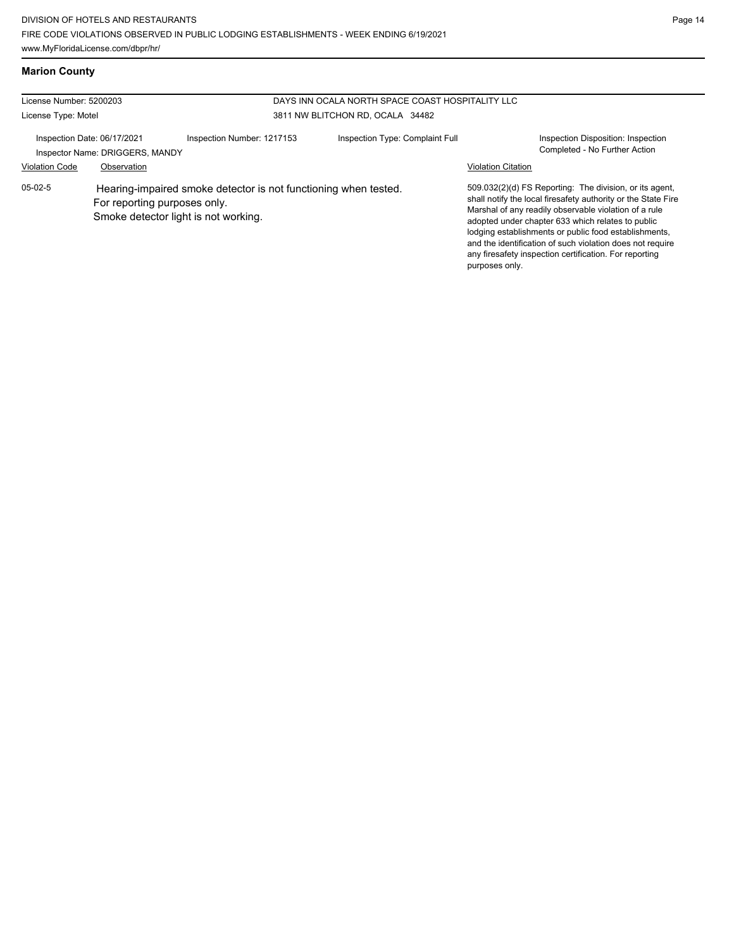# **Marion County**

| License Number: 5200203     |                                 | DAYS INN OCALA NORTH SPACE COAST HOSPITALITY LLC                                                        |                                 |                           |                                                                                                                                                                                                                                                                                                                                                                                                                        |
|-----------------------------|---------------------------------|---------------------------------------------------------------------------------------------------------|---------------------------------|---------------------------|------------------------------------------------------------------------------------------------------------------------------------------------------------------------------------------------------------------------------------------------------------------------------------------------------------------------------------------------------------------------------------------------------------------------|
| License Type: Motel         |                                 | 3811 NW BLITCHON RD. OCALA 34482                                                                        |                                 |                           |                                                                                                                                                                                                                                                                                                                                                                                                                        |
| Inspection Date: 06/17/2021 | Inspector Name: DRIGGERS, MANDY | Inspection Number: 1217153                                                                              | Inspection Type: Complaint Full |                           | Inspection Disposition: Inspection<br>Completed - No Further Action                                                                                                                                                                                                                                                                                                                                                    |
| <b>Violation Code</b>       | Observation                     |                                                                                                         |                                 | <b>Violation Citation</b> |                                                                                                                                                                                                                                                                                                                                                                                                                        |
| $05-02-5$                   | For reporting purposes only.    | Hearing-impaired smoke detector is not functioning when tested.<br>Smoke detector light is not working. |                                 | purposes only.            | 509.032(2)(d) FS Reporting: The division, or its agent,<br>shall notify the local firesafety authority or the State Fire<br>Marshal of any readily observable violation of a rule<br>adopted under chapter 633 which relates to public<br>lodging establishments or public food establishments,<br>and the identification of such violation does not require<br>any firesafety inspection certification. For reporting |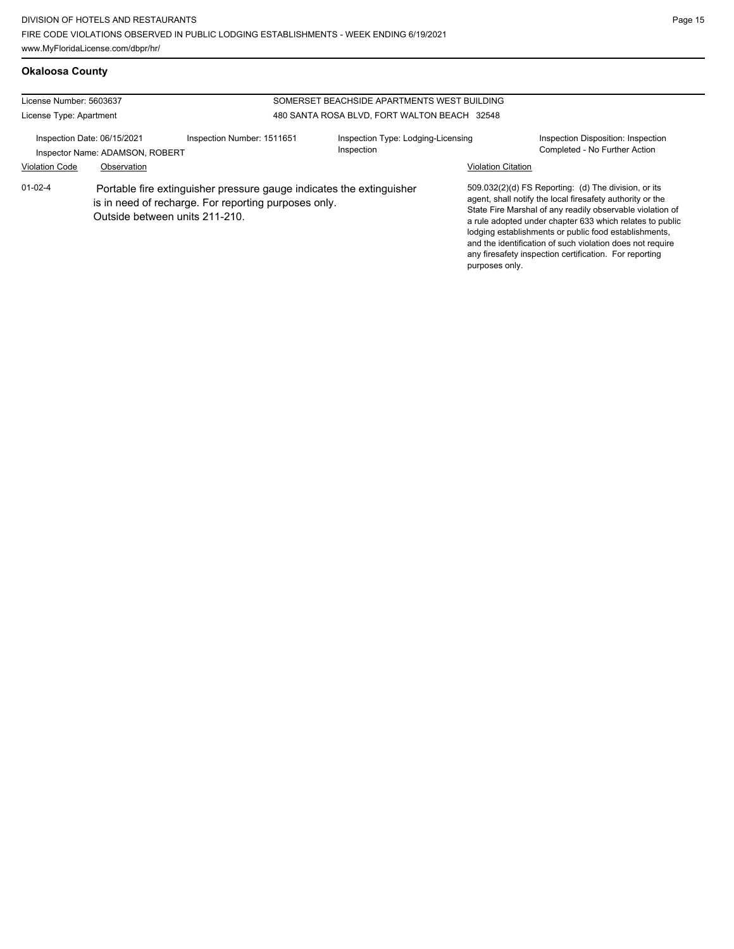# **Okaloosa County**

| License Number: 5603637<br>SOMERSET BEACHSIDE APARTMENTS WEST BUILDING |                                                                                                                                                                |                            |                                                  |                           |                                                                                                                                                                                                                                                                                                                                                                                                                            |  |
|------------------------------------------------------------------------|----------------------------------------------------------------------------------------------------------------------------------------------------------------|----------------------------|--------------------------------------------------|---------------------------|----------------------------------------------------------------------------------------------------------------------------------------------------------------------------------------------------------------------------------------------------------------------------------------------------------------------------------------------------------------------------------------------------------------------------|--|
| License Type: Apartment                                                |                                                                                                                                                                |                            | 480 SANTA ROSA BLVD, FORT WALTON BEACH 32548     |                           |                                                                                                                                                                                                                                                                                                                                                                                                                            |  |
| Inspection Date: 06/15/2021<br>Inspector Name: ADAMSON, ROBERT         |                                                                                                                                                                | Inspection Number: 1511651 | Inspection Type: Lodging-Licensing<br>Inspection |                           | Inspection Disposition: Inspection<br>Completed - No Further Action                                                                                                                                                                                                                                                                                                                                                        |  |
| <b>Violation Code</b><br>Observation                                   |                                                                                                                                                                |                            |                                                  | <b>Violation Citation</b> |                                                                                                                                                                                                                                                                                                                                                                                                                            |  |
| $01 - 02 - 4$                                                          | Portable fire extinguisher pressure gauge indicates the extinguisher<br>is in need of recharge. For reporting purposes only.<br>Outside between units 211-210. |                            |                                                  | purposes only.            | 509.032(2)(d) FS Reporting: (d) The division, or its<br>agent, shall notify the local firesafety authority or the<br>State Fire Marshal of any readily observable violation of<br>a rule adopted under chapter 633 which relates to public<br>lodging establishments or public food establishments,<br>and the identification of such violation does not require<br>any firesafety inspection certification. For reporting |  |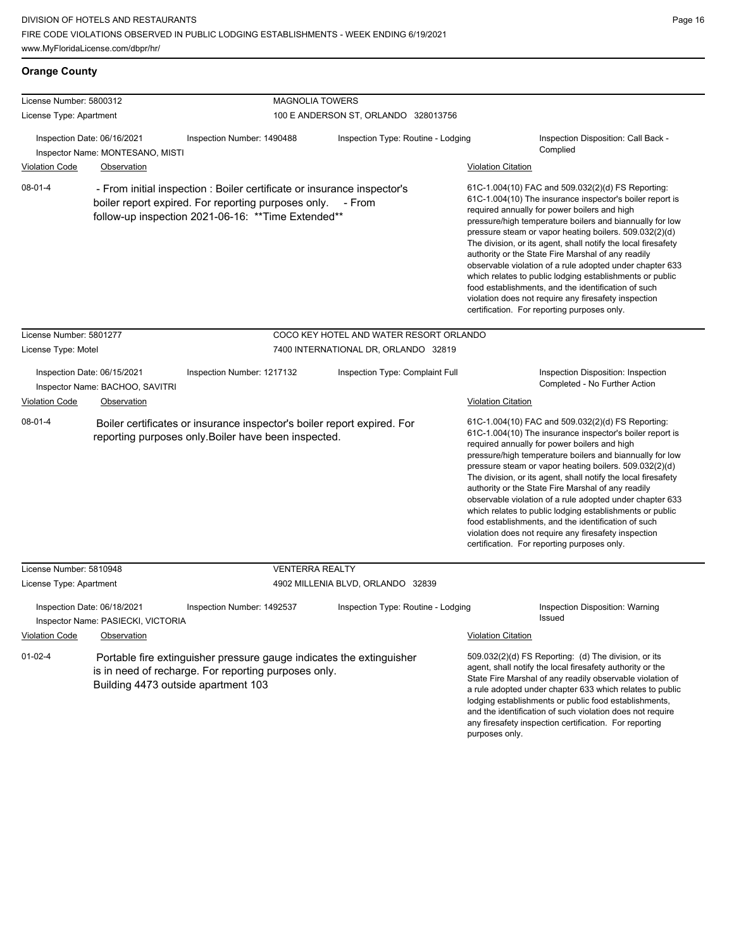| <b>Orange County</b>                                                                                                                                                                                         |                                                                 |                                                                                                                                 |                                                                                                                                                                                                                                                                                                                                                                                                                                                                                                                                                                                                                                                                                                  |                                                                                                                                                                                                                                                                                                                                                                                                                            |                                                                                                                                                                                                                                                                                                                                                                                                                                                                                                                                                                                                                                                                                                  |
|--------------------------------------------------------------------------------------------------------------------------------------------------------------------------------------------------------------|-----------------------------------------------------------------|---------------------------------------------------------------------------------------------------------------------------------|--------------------------------------------------------------------------------------------------------------------------------------------------------------------------------------------------------------------------------------------------------------------------------------------------------------------------------------------------------------------------------------------------------------------------------------------------------------------------------------------------------------------------------------------------------------------------------------------------------------------------------------------------------------------------------------------------|----------------------------------------------------------------------------------------------------------------------------------------------------------------------------------------------------------------------------------------------------------------------------------------------------------------------------------------------------------------------------------------------------------------------------|--------------------------------------------------------------------------------------------------------------------------------------------------------------------------------------------------------------------------------------------------------------------------------------------------------------------------------------------------------------------------------------------------------------------------------------------------------------------------------------------------------------------------------------------------------------------------------------------------------------------------------------------------------------------------------------------------|
| License Number: 5800312                                                                                                                                                                                      |                                                                 | <b>MAGNOLIA TOWERS</b>                                                                                                          |                                                                                                                                                                                                                                                                                                                                                                                                                                                                                                                                                                                                                                                                                                  |                                                                                                                                                                                                                                                                                                                                                                                                                            |                                                                                                                                                                                                                                                                                                                                                                                                                                                                                                                                                                                                                                                                                                  |
| License Type: Apartment                                                                                                                                                                                      |                                                                 |                                                                                                                                 | 100 E ANDERSON ST, ORLANDO 328013756                                                                                                                                                                                                                                                                                                                                                                                                                                                                                                                                                                                                                                                             |                                                                                                                                                                                                                                                                                                                                                                                                                            |                                                                                                                                                                                                                                                                                                                                                                                                                                                                                                                                                                                                                                                                                                  |
|                                                                                                                                                                                                              | Inspection Date: 06/16/2021<br>Inspector Name: MONTESANO, MISTI | Inspection Number: 1490488<br>Inspection Type: Routine - Lodging                                                                |                                                                                                                                                                                                                                                                                                                                                                                                                                                                                                                                                                                                                                                                                                  |                                                                                                                                                                                                                                                                                                                                                                                                                            | Inspection Disposition: Call Back -<br>Complied                                                                                                                                                                                                                                                                                                                                                                                                                                                                                                                                                                                                                                                  |
| <b>Violation Code</b>                                                                                                                                                                                        | Observation                                                     |                                                                                                                                 |                                                                                                                                                                                                                                                                                                                                                                                                                                                                                                                                                                                                                                                                                                  | <b>Violation Citation</b>                                                                                                                                                                                                                                                                                                                                                                                                  |                                                                                                                                                                                                                                                                                                                                                                                                                                                                                                                                                                                                                                                                                                  |
| $08-01-4$<br>- From initial inspection : Boiler certificate or insurance inspector's<br>boiler report expired. For reporting purposes only.<br>- From<br>follow-up inspection 2021-06-16: ** Time Extended** |                                                                 |                                                                                                                                 | 61C-1.004(10) FAC and 509.032(2)(d) FS Reporting:<br>61C-1.004(10) The insurance inspector's boiler report is<br>required annually for power boilers and high<br>pressure/high temperature boilers and biannually for low<br>pressure steam or vapor heating boilers. 509.032(2)(d)<br>The division, or its agent, shall notify the local firesafety<br>authority or the State Fire Marshal of any readily<br>observable violation of a rule adopted under chapter 633<br>which relates to public lodging establishments or public<br>food establishments, and the identification of such<br>violation does not require any firesafety inspection<br>certification. For reporting purposes only. |                                                                                                                                                                                                                                                                                                                                                                                                                            |                                                                                                                                                                                                                                                                                                                                                                                                                                                                                                                                                                                                                                                                                                  |
| License Number: 5801277                                                                                                                                                                                      |                                                                 |                                                                                                                                 | COCO KEY HOTEL AND WATER RESORT ORLANDO                                                                                                                                                                                                                                                                                                                                                                                                                                                                                                                                                                                                                                                          |                                                                                                                                                                                                                                                                                                                                                                                                                            |                                                                                                                                                                                                                                                                                                                                                                                                                                                                                                                                                                                                                                                                                                  |
| License Type: Motel                                                                                                                                                                                          |                                                                 |                                                                                                                                 | 7400 INTERNATIONAL DR, ORLANDO 32819                                                                                                                                                                                                                                                                                                                                                                                                                                                                                                                                                                                                                                                             |                                                                                                                                                                                                                                                                                                                                                                                                                            |                                                                                                                                                                                                                                                                                                                                                                                                                                                                                                                                                                                                                                                                                                  |
| Inspection Date: 06/15/2021<br>Inspector Name: BACHOO, SAVITRI<br>Violation Code<br>Observation                                                                                                              |                                                                 | Inspection Number: 1217132                                                                                                      | Inspection Type: Complaint Full                                                                                                                                                                                                                                                                                                                                                                                                                                                                                                                                                                                                                                                                  | Violation Citation                                                                                                                                                                                                                                                                                                                                                                                                         | Inspection Disposition: Inspection<br>Completed - No Further Action                                                                                                                                                                                                                                                                                                                                                                                                                                                                                                                                                                                                                              |
| $08 - 01 - 4$                                                                                                                                                                                                |                                                                 | Boiler certificates or insurance inspector's boiler report expired. For<br>reporting purposes only. Boiler have been inspected. |                                                                                                                                                                                                                                                                                                                                                                                                                                                                                                                                                                                                                                                                                                  |                                                                                                                                                                                                                                                                                                                                                                                                                            | 61C-1.004(10) FAC and 509.032(2)(d) FS Reporting:<br>61C-1.004(10) The insurance inspector's boiler report is<br>required annually for power boilers and high<br>pressure/high temperature boilers and biannually for low<br>pressure steam or vapor heating boilers. 509.032(2)(d)<br>The division, or its agent, shall notify the local firesafety<br>authority or the State Fire Marshal of any readily<br>observable violation of a rule adopted under chapter 633<br>which relates to public lodging establishments or public<br>food establishments, and the identification of such<br>violation does not require any firesafety inspection<br>certification. For reporting purposes only. |
| License Number: 5810948                                                                                                                                                                                      |                                                                 | <b>VENTERRA REALTY</b>                                                                                                          |                                                                                                                                                                                                                                                                                                                                                                                                                                                                                                                                                                                                                                                                                                  |                                                                                                                                                                                                                                                                                                                                                                                                                            |                                                                                                                                                                                                                                                                                                                                                                                                                                                                                                                                                                                                                                                                                                  |
| License Type: Apartment                                                                                                                                                                                      |                                                                 |                                                                                                                                 | 4902 MILLENIA BLVD, ORLANDO 32839                                                                                                                                                                                                                                                                                                                                                                                                                                                                                                                                                                                                                                                                |                                                                                                                                                                                                                                                                                                                                                                                                                            |                                                                                                                                                                                                                                                                                                                                                                                                                                                                                                                                                                                                                                                                                                  |
| Inspection Date: 06/18/2021<br>Inspector Name: PASIECKI, VICTORIA                                                                                                                                            |                                                                 | Inspection Number: 1492537                                                                                                      | Inspection Type: Routine - Lodging<br>Issued                                                                                                                                                                                                                                                                                                                                                                                                                                                                                                                                                                                                                                                     |                                                                                                                                                                                                                                                                                                                                                                                                                            | <b>Inspection Disposition: Warning</b>                                                                                                                                                                                                                                                                                                                                                                                                                                                                                                                                                                                                                                                           |
| <b>Violation Code</b>                                                                                                                                                                                        | Observation                                                     |                                                                                                                                 |                                                                                                                                                                                                                                                                                                                                                                                                                                                                                                                                                                                                                                                                                                  | <b>Violation Citation</b>                                                                                                                                                                                                                                                                                                                                                                                                  |                                                                                                                                                                                                                                                                                                                                                                                                                                                                                                                                                                                                                                                                                                  |
| $01 - 02 - 4$<br>Portable fire extinguisher pressure gauge indicates the extinguisher<br>is in need of recharge. For reporting purposes only.<br>Building 4473 outside apartment 103                         |                                                                 |                                                                                                                                 |                                                                                                                                                                                                                                                                                                                                                                                                                                                                                                                                                                                                                                                                                                  | 509.032(2)(d) FS Reporting: (d) The division, or its<br>agent, shall notify the local firesafety authority or the<br>State Fire Marshal of any readily observable violation of<br>a rule adopted under chapter 633 which relates to public<br>lodging establishments or public food establishments,<br>and the identification of such violation does not require<br>any firesafety inspection certification. For reporting |                                                                                                                                                                                                                                                                                                                                                                                                                                                                                                                                                                                                                                                                                                  |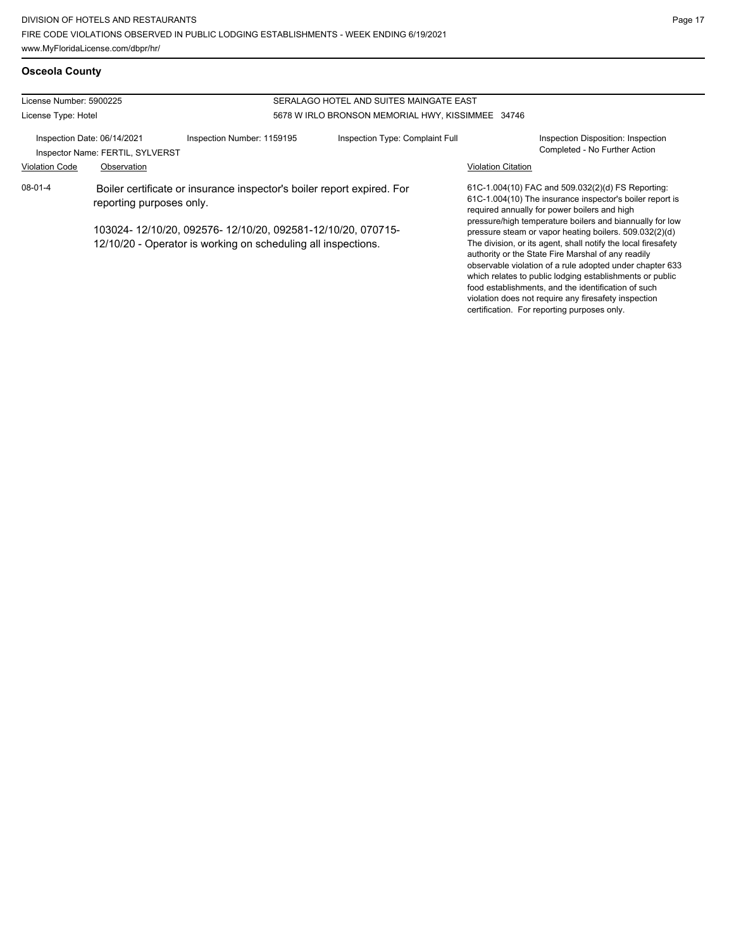**Osceola County**

violation does not require any firesafety inspection certification. For reporting purposes only.

| License Number: 5900225<br>SERALAGO HOTEL AND SUITES MAINGATE EAST                                                          |             |                                                                        |                                                   |                                                                                                                                                                                                                                                                                                                                                                                                                          |                                                                     |
|-----------------------------------------------------------------------------------------------------------------------------|-------------|------------------------------------------------------------------------|---------------------------------------------------|--------------------------------------------------------------------------------------------------------------------------------------------------------------------------------------------------------------------------------------------------------------------------------------------------------------------------------------------------------------------------------------------------------------------------|---------------------------------------------------------------------|
| License Type: Hotel                                                                                                         |             |                                                                        | 5678 W IRLO BRONSON MEMORIAL HWY, KISSIMMEE 34746 |                                                                                                                                                                                                                                                                                                                                                                                                                          |                                                                     |
| Inspection Date: 06/14/2021<br>Inspector Name: FERTIL, SYLVERST                                                             |             | Inspection Number: 1159195                                             | Inspection Type: Complaint Full                   |                                                                                                                                                                                                                                                                                                                                                                                                                          | Inspection Disposition: Inspection<br>Completed - No Further Action |
| <b>Violation Code</b>                                                                                                       | Observation |                                                                        |                                                   | <b>Violation Citation</b>                                                                                                                                                                                                                                                                                                                                                                                                |                                                                     |
| $08 - 01 - 4$<br>reporting purposes only.                                                                                   |             | Boiler certificate or insurance inspector's boiler report expired. For |                                                   | 61C-1.004(10) FAC and 509.032(2)(d) FS Reporting:<br>61C-1.004(10) The insurance inspector's boiler report is<br>required annually for power boilers and high                                                                                                                                                                                                                                                            |                                                                     |
| 103024-12/10/20, 092576-12/10/20, 092581-12/10/20, 070715-<br>12/10/20 - Operator is working on scheduling all inspections. |             |                                                                        |                                                   | pressure/high temperature boilers and biannually for low<br>pressure steam or vapor heating boilers. 509.032(2)(d)<br>The division, or its agent, shall notify the local firesafety<br>authority or the State Fire Marshal of any readily<br>observable violation of a rule adopted under chapter 633<br>which relates to public lodging establishments or public<br>food establishments, and the identification of such |                                                                     |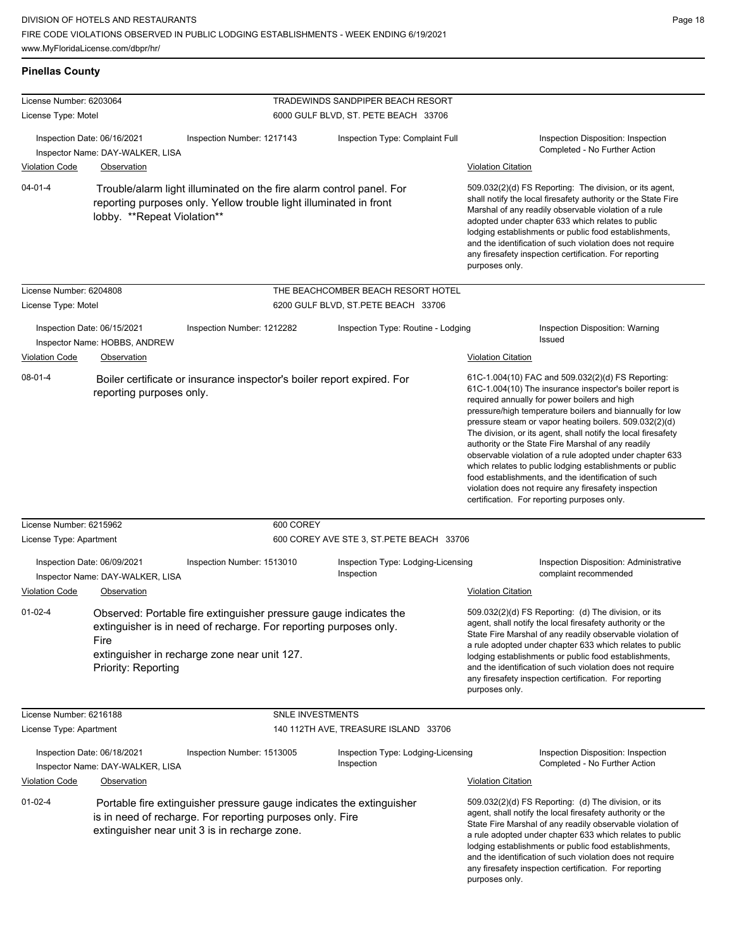| <b>Pinellas County</b>                                                                                                                                                                                                                      |                                                 |                                                                                                                                                                                        |                                                                                  |                                                                                                                                                                                                                                                                                                                                                                                                                                                                                                                                                                                                                                                                                                  |
|---------------------------------------------------------------------------------------------------------------------------------------------------------------------------------------------------------------------------------------------|-------------------------------------------------|----------------------------------------------------------------------------------------------------------------------------------------------------------------------------------------|----------------------------------------------------------------------------------|--------------------------------------------------------------------------------------------------------------------------------------------------------------------------------------------------------------------------------------------------------------------------------------------------------------------------------------------------------------------------------------------------------------------------------------------------------------------------------------------------------------------------------------------------------------------------------------------------------------------------------------------------------------------------------------------------|
| License Number: 6203064<br>License Type: Motel                                                                                                                                                                                              |                                                 |                                                                                                                                                                                        | <b>TRADEWINDS SANDPIPER BEACH RESORT</b><br>6000 GULF BLVD, ST. PETE BEACH 33706 |                                                                                                                                                                                                                                                                                                                                                                                                                                                                                                                                                                                                                                                                                                  |
| Inspection Date: 06/16/2021<br><b>Violation Code</b>                                                                                                                                                                                        | Inspector Name: DAY-WALKER, LISA<br>Observation | Inspection Number: 1217143                                                                                                                                                             | Inspection Type: Complaint Full                                                  | Inspection Disposition: Inspection<br>Completed - No Further Action<br><b>Violation Citation</b>                                                                                                                                                                                                                                                                                                                                                                                                                                                                                                                                                                                                 |
| $04 - 01 - 4$                                                                                                                                                                                                                               | lobby. **Repeat Violation**                     | Trouble/alarm light illuminated on the fire alarm control panel. For<br>reporting purposes only. Yellow trouble light illuminated in front                                             |                                                                                  | 509.032(2)(d) FS Reporting: The division, or its agent,<br>shall notify the local firesafety authority or the State Fire<br>Marshal of any readily observable violation of a rule<br>adopted under chapter 633 which relates to public<br>lodging establishments or public food establishments,<br>and the identification of such violation does not require<br>any firesafety inspection certification. For reporting<br>purposes only.                                                                                                                                                                                                                                                         |
| License Number: 6204808<br>License Type: Motel                                                                                                                                                                                              |                                                 |                                                                                                                                                                                        | THE BEACHCOMBER BEACH RESORT HOTEL<br>6200 GULF BLVD, ST.PETE BEACH 33706        |                                                                                                                                                                                                                                                                                                                                                                                                                                                                                                                                                                                                                                                                                                  |
| Inspection Date: 06/15/2021<br>Violation Code                                                                                                                                                                                               | Inspector Name: HOBBS, ANDREW<br>Observation    | Inspection Number: 1212282                                                                                                                                                             | Inspection Type: Routine - Lodging                                               | Inspection Disposition: Warning<br>Issued<br><b>Violation Citation</b>                                                                                                                                                                                                                                                                                                                                                                                                                                                                                                                                                                                                                           |
| $08-01-4$                                                                                                                                                                                                                                   | reporting purposes only.                        | Boiler certificate or insurance inspector's boiler report expired. For                                                                                                                 |                                                                                  | 61C-1.004(10) FAC and 509.032(2)(d) FS Reporting:<br>61C-1.004(10) The insurance inspector's boiler report is<br>required annually for power boilers and high<br>pressure/high temperature boilers and biannually for low<br>pressure steam or vapor heating boilers. 509.032(2)(d)<br>The division, or its agent, shall notify the local firesafety<br>authority or the State Fire Marshal of any readily<br>observable violation of a rule adopted under chapter 633<br>which relates to public lodging establishments or public<br>food establishments, and the identification of such<br>violation does not require any firesafety inspection<br>certification. For reporting purposes only. |
| License Number: 6215962                                                                                                                                                                                                                     |                                                 | 600 COREY                                                                                                                                                                              |                                                                                  |                                                                                                                                                                                                                                                                                                                                                                                                                                                                                                                                                                                                                                                                                                  |
| License Type: Apartment                                                                                                                                                                                                                     |                                                 |                                                                                                                                                                                        | 600 COREY AVE STE 3, ST. PETE BEACH 33706                                        |                                                                                                                                                                                                                                                                                                                                                                                                                                                                                                                                                                                                                                                                                                  |
| Inspection Date: 06/09/2021                                                                                                                                                                                                                 | Inspector Name: DAY-WALKER, LISA                | Inspection Number: 1513010                                                                                                                                                             | Inspection Type: Lodging-Licensing<br>Inspection                                 | Inspection Disposition: Administrative<br>complaint recommended                                                                                                                                                                                                                                                                                                                                                                                                                                                                                                                                                                                                                                  |
| <b>Violation Code</b>                                                                                                                                                                                                                       | Observation                                     |                                                                                                                                                                                        |                                                                                  | <b>Violation Citation</b>                                                                                                                                                                                                                                                                                                                                                                                                                                                                                                                                                                                                                                                                        |
| $01 - 02 - 4$                                                                                                                                                                                                                               | Fire<br>Priority: Reporting                     | Observed: Portable fire extinguisher pressure gauge indicates the<br>extinguisher is in need of recharge. For reporting purposes only.<br>extinguisher in recharge zone near unit 127. |                                                                                  | 509.032(2)(d) FS Reporting: (d) The division, or its<br>agent, shall notify the local firesafety authority or the<br>State Fire Marshal of any readily observable violation of<br>a rule adopted under chapter 633 which relates to public<br>lodging establishments or public food establishments,<br>and the identification of such violation does not require<br>any firesafety inspection certification. For reporting<br>purposes only.                                                                                                                                                                                                                                                     |
| License Number: 6216188                                                                                                                                                                                                                     |                                                 | SNLE INVESTMENTS                                                                                                                                                                       |                                                                                  |                                                                                                                                                                                                                                                                                                                                                                                                                                                                                                                                                                                                                                                                                                  |
| License Type: Apartment                                                                                                                                                                                                                     |                                                 |                                                                                                                                                                                        | 140 112TH AVE, TREASURE ISLAND 33706                                             |                                                                                                                                                                                                                                                                                                                                                                                                                                                                                                                                                                                                                                                                                                  |
| Inspection Date: 06/18/2021                                                                                                                                                                                                                 | Inspector Name: DAY-WALKER, LISA                | Inspection Number: 1513005                                                                                                                                                             | Inspection Type: Lodging-Licensing<br>Inspection                                 | Inspection Disposition: Inspection<br>Completed - No Further Action                                                                                                                                                                                                                                                                                                                                                                                                                                                                                                                                                                                                                              |
| <b>Violation Code</b><br>Observation<br>$01 - 02 - 4$<br>Portable fire extinguisher pressure gauge indicates the extinguisher<br>is in need of recharge. For reporting purposes only. Fire<br>extinguisher near unit 3 is in recharge zone. |                                                 |                                                                                                                                                                                        |                                                                                  | <b>Violation Citation</b><br>509.032(2)(d) FS Reporting: (d) The division, or its<br>agent, shall notify the local firesafety authority or the<br>State Fire Marshal of any readily observable violation of<br>a rule adopted under chapter 633 which relates to public<br>lodging establishments or public food establishments,                                                                                                                                                                                                                                                                                                                                                                 |
|                                                                                                                                                                                                                                             |                                                 |                                                                                                                                                                                        |                                                                                  | and the identification of such violation does not require<br>any firesafety inspection certification. For reporting<br>purposes only.                                                                                                                                                                                                                                                                                                                                                                                                                                                                                                                                                            |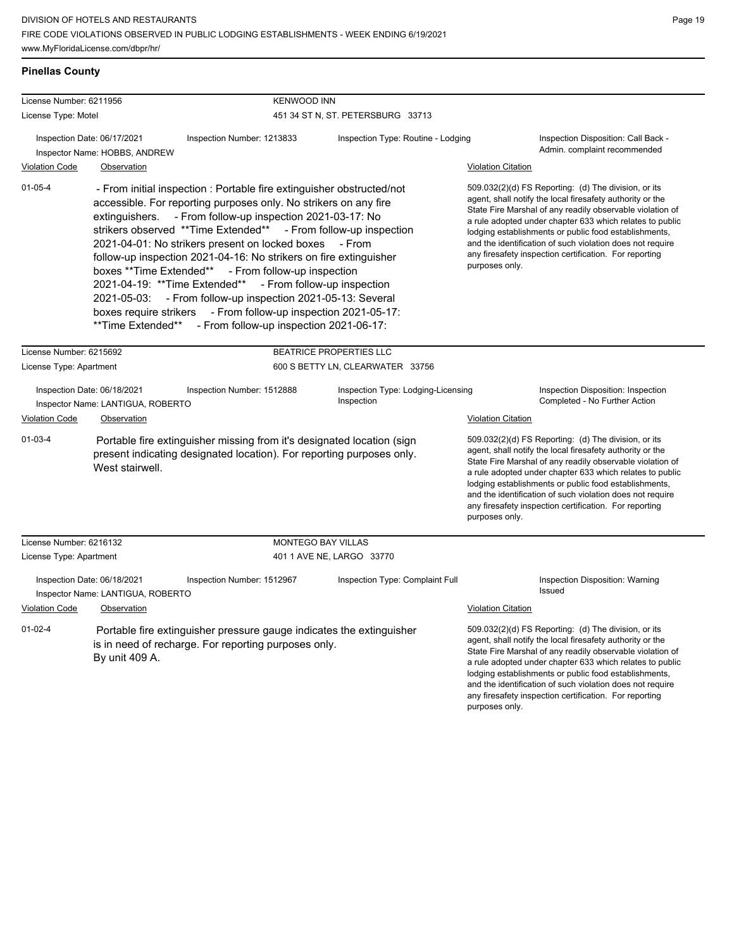# **Pinellas County**

| License Number: 6211956                                                                                  |                                                    | <b>KENWOOD INN</b>                                                                                                                                                                                                                                                                                                                                                                                                                                                                                                                                                                                                                                                         |                                                                                                                                                      |                                                                                                                                                                                                                                                                                                                                                                                                                                              |  |  |
|----------------------------------------------------------------------------------------------------------|----------------------------------------------------|----------------------------------------------------------------------------------------------------------------------------------------------------------------------------------------------------------------------------------------------------------------------------------------------------------------------------------------------------------------------------------------------------------------------------------------------------------------------------------------------------------------------------------------------------------------------------------------------------------------------------------------------------------------------------|------------------------------------------------------------------------------------------------------------------------------------------------------|----------------------------------------------------------------------------------------------------------------------------------------------------------------------------------------------------------------------------------------------------------------------------------------------------------------------------------------------------------------------------------------------------------------------------------------------|--|--|
| License Type: Motel                                                                                      |                                                    |                                                                                                                                                                                                                                                                                                                                                                                                                                                                                                                                                                                                                                                                            | 451 34 ST N, ST. PETERSBURG 33713                                                                                                                    |                                                                                                                                                                                                                                                                                                                                                                                                                                              |  |  |
| Inspection Date: 06/17/2021<br>Inspector Name: HOBBS, ANDREW<br><b>Violation Code</b><br>Observation     |                                                    | Inspection Number: 1213833                                                                                                                                                                                                                                                                                                                                                                                                                                                                                                                                                                                                                                                 | Inspection Type: Routine - Lodging                                                                                                                   | Inspection Disposition: Call Back -<br>Admin. complaint recommended<br><b>Violation Citation</b>                                                                                                                                                                                                                                                                                                                                             |  |  |
| $01 - 05 - 4$                                                                                            | 2021-04-19: **Time Extended**<br>**Time Extended** | - From initial inspection : Portable fire extinguisher obstructed/not<br>accessible. For reporting purposes only. No strikers on any fire<br>extinguishers. - From follow-up inspection 2021-03-17: No<br>strikers observed **Time Extended** - From follow-up inspection<br>2021-04-01: No strikers present on locked boxes - From<br>follow-up inspection 2021-04-16: No strikers on fire extinguisher<br>boxes **Time Extended** - From follow-up inspection<br>- From follow-up inspection<br>2021-05-03: - From follow-up inspection 2021-05-13: Several<br>boxes require strikers - From follow-up inspection 2021-05-17:<br>- From follow-up inspection 2021-06-17: |                                                                                                                                                      | 509.032(2)(d) FS Reporting: (d) The division, or its<br>agent, shall notify the local firesafety authority or the<br>State Fire Marshal of any readily observable violation of<br>a rule adopted under chapter 633 which relates to public<br>lodging establishments or public food establishments,<br>and the identification of such violation does not require<br>any firesafety inspection certification. For reporting<br>purposes only. |  |  |
| License Number: 6215692<br>License Type: Apartment                                                       |                                                    |                                                                                                                                                                                                                                                                                                                                                                                                                                                                                                                                                                                                                                                                            | BEATRICE PROPERTIES LLC<br>600 S BETTY LN, CLEARWATER 33756                                                                                          |                                                                                                                                                                                                                                                                                                                                                                                                                                              |  |  |
| Inspection Date: 06/18/2021<br>Inspector Name: LANTIGUA, ROBERTO<br><b>Violation Code</b><br>Observation |                                                    | Inspection Number: 1512888                                                                                                                                                                                                                                                                                                                                                                                                                                                                                                                                                                                                                                                 | Inspection Type: Lodging-Licensing<br>Inspection Disposition: Inspection<br>Inspection<br>Completed - No Further Action<br><b>Violation Citation</b> |                                                                                                                                                                                                                                                                                                                                                                                                                                              |  |  |
| $01-03-4$                                                                                                | West stairwell.                                    | Portable fire extinguisher missing from it's designated location (sign<br>present indicating designated location). For reporting purposes only.                                                                                                                                                                                                                                                                                                                                                                                                                                                                                                                            |                                                                                                                                                      | 509.032(2)(d) FS Reporting: (d) The division, or its<br>agent, shall notify the local firesafety authority or the<br>State Fire Marshal of any readily observable violation of<br>a rule adopted under chapter 633 which relates to public<br>lodging establishments or public food establishments,<br>and the identification of such violation does not require<br>any firesafety inspection certification. For reporting<br>purposes only. |  |  |
| License Number: 6216132                                                                                  |                                                    | MONTEGO BAY VILLAS                                                                                                                                                                                                                                                                                                                                                                                                                                                                                                                                                                                                                                                         |                                                                                                                                                      |                                                                                                                                                                                                                                                                                                                                                                                                                                              |  |  |
| License Type: Apartment                                                                                  |                                                    |                                                                                                                                                                                                                                                                                                                                                                                                                                                                                                                                                                                                                                                                            | 401 1 AVE NE, LARGO 33770                                                                                                                            |                                                                                                                                                                                                                                                                                                                                                                                                                                              |  |  |
| Inspection Date: 06/18/2021<br>Inspector Name: LANTIGUA, ROBERTO                                         |                                                    | Inspection Number: 1512967                                                                                                                                                                                                                                                                                                                                                                                                                                                                                                                                                                                                                                                 | Inspection Type: Complaint Full                                                                                                                      | Inspection Disposition: Warning<br>Issued                                                                                                                                                                                                                                                                                                                                                                                                    |  |  |
| Violation Code                                                                                           | Observation                                        |                                                                                                                                                                                                                                                                                                                                                                                                                                                                                                                                                                                                                                                                            |                                                                                                                                                      | <b>Violation Citation</b>                                                                                                                                                                                                                                                                                                                                                                                                                    |  |  |
| $01 - 02 - 4$                                                                                            | By unit 409 A.                                     | Portable fire extinguisher pressure gauge indicates the extinguisher<br>is in need of recharge. For reporting purposes only.                                                                                                                                                                                                                                                                                                                                                                                                                                                                                                                                               |                                                                                                                                                      | 509.032(2)(d) FS Reporting: (d) The division, or its<br>agent, shall notify the local firesafety authority or the<br>State Fire Marshal of any readily observable violation of<br>a rule adopted under chapter 633 which relates to public<br>lodging establishments or public food establishments,<br>and the identification of such violation does not require<br>any firesafety inspection certification. For reporting<br>purposes only. |  |  |